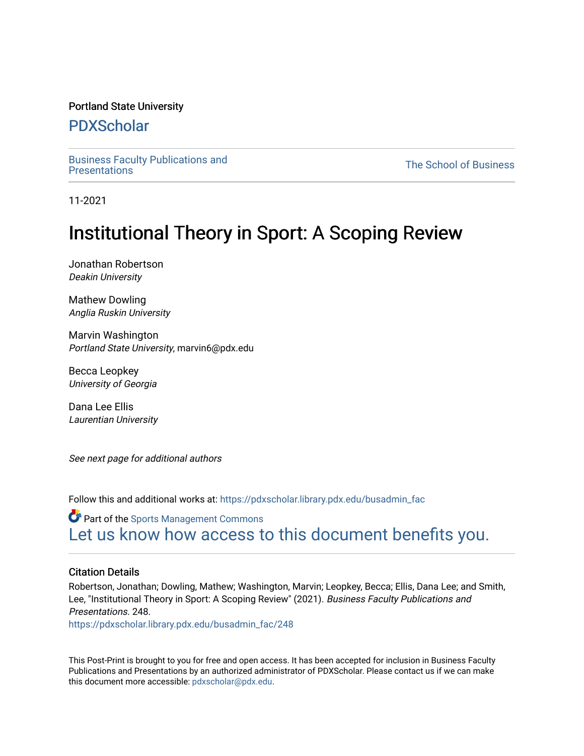#### Portland State University

# [PDXScholar](https://pdxscholar.library.pdx.edu/)

[Business Faculty Publications and](https://pdxscholar.library.pdx.edu/busadmin_fac) 

**The School of Business** 

11-2021

# Institutional Theory in Sport: A Scoping Review

Jonathan Robertson Deakin University

Mathew Dowling Anglia Ruskin University

Marvin Washington Portland State University, marvin6@pdx.edu

Becca Leopkey University of Georgia

Dana Lee Ellis Laurentian University

See next page for additional authors

Follow this and additional works at: [https://pdxscholar.library.pdx.edu/busadmin\\_fac](https://pdxscholar.library.pdx.edu/busadmin_fac?utm_source=pdxscholar.library.pdx.edu%2Fbusadmin_fac%2F248&utm_medium=PDF&utm_campaign=PDFCoverPages) 

**Part of the [Sports Management Commons](http://network.bepress.com/hgg/discipline/1193?utm_source=pdxscholar.library.pdx.edu%2Fbusadmin_fac%2F248&utm_medium=PDF&utm_campaign=PDFCoverPages)** [Let us know how access to this document benefits you.](http://library.pdx.edu/services/pdxscholar-services/pdxscholar-feedback/?ref=https://pdxscholar.library.pdx.edu/busadmin_fac/248) 

## Citation Details

Robertson, Jonathan; Dowling, Mathew; Washington, Marvin; Leopkey, Becca; Ellis, Dana Lee; and Smith, Lee, "Institutional Theory in Sport: A Scoping Review" (2021). Business Faculty Publications and Presentations. 248.

[https://pdxscholar.library.pdx.edu/busadmin\\_fac/248](https://pdxscholar.library.pdx.edu/busadmin_fac/248?utm_source=pdxscholar.library.pdx.edu%2Fbusadmin_fac%2F248&utm_medium=PDF&utm_campaign=PDFCoverPages) 

This Post-Print is brought to you for free and open access. It has been accepted for inclusion in Business Faculty Publications and Presentations by an authorized administrator of PDXScholar. Please contact us if we can make this document more accessible: [pdxscholar@pdx.edu.](mailto:pdxscholar@pdx.edu)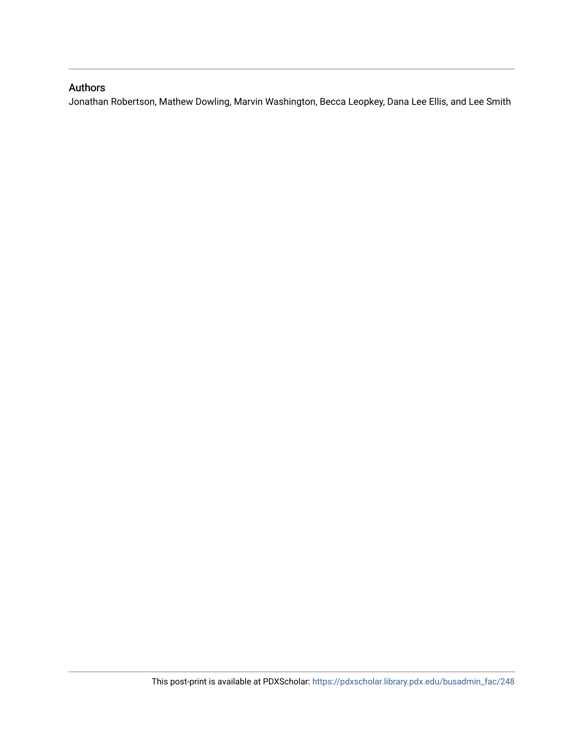## Authors

Jonathan Robertson, Mathew Dowling, Marvin Washington, Becca Leopkey, Dana Lee Ellis, and Lee Smith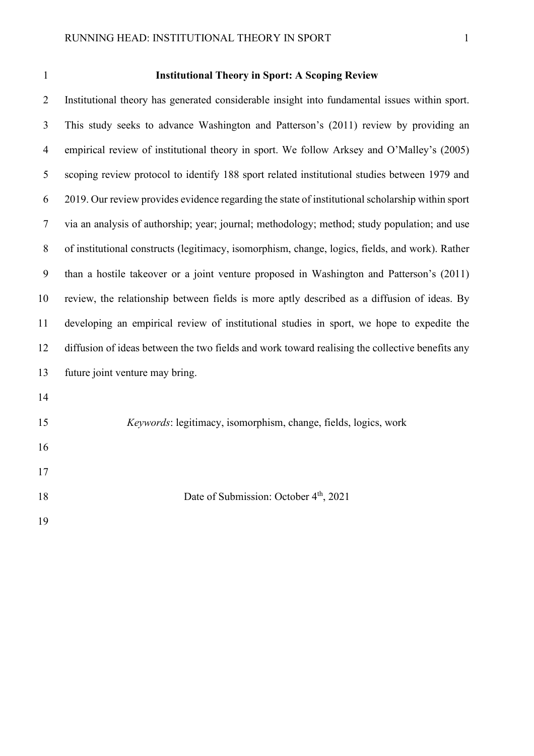## **Institutional Theory in Sport: A Scoping Review**

 Institutional theory has generated considerable insight into fundamental issues within sport. This study seeks to advance Washington and Patterson's (2011) review by providing an empirical review of institutional theory in sport. We follow Arksey and O'Malley's (2005) scoping review protocol to identify 188 sport related institutional studies between 1979 and 2019. Our review provides evidence regarding the state of institutional scholarship within sport via an analysis of authorship; year; journal; methodology; method; study population; and use of institutional constructs (legitimacy, isomorphism, change, logics, fields, and work). Rather than a hostile takeover or a joint venture proposed in Washington and Patterson's (2011) review, the relationship between fields is more aptly described as a diffusion of ideas. By developing an empirical review of institutional studies in sport, we hope to expedite the diffusion of ideas between the two fields and work toward realising the collective benefits any future joint venture may bring. 

*Keywords*: legitimacy, isomorphism, change, fields, logics, work

18 Date of Submission: October 4<sup>th</sup>, 2021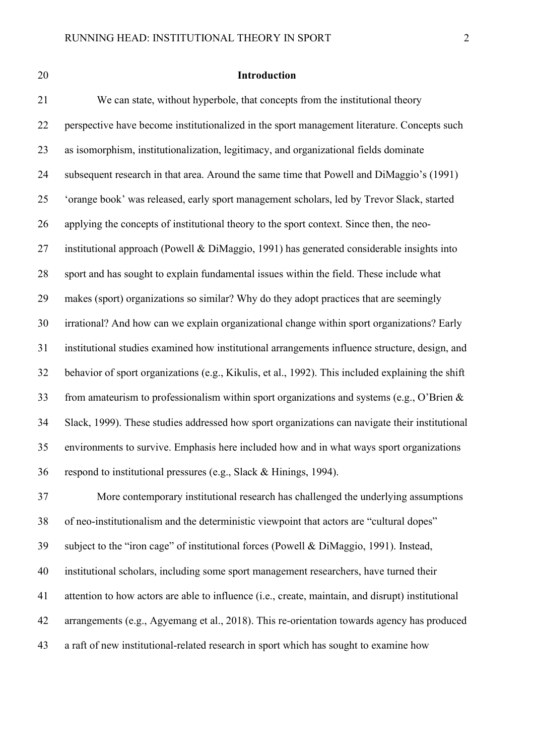## **Introduction**

 We can state, without hyperbole, that concepts from the institutional theory perspective have become institutionalized in the sport management literature. Concepts such as isomorphism, institutionalization, legitimacy, and organizational fields dominate subsequent research in that area. Around the same time that Powell and DiMaggio's (1991) 'orange book' was released, early sport management scholars, led by Trevor Slack, started applying the concepts of institutional theory to the sport context. Since then, the neo- institutional approach (Powell & DiMaggio, 1991) has generated considerable insights into sport and has sought to explain fundamental issues within the field. These include what makes (sport) organizations so similar? Why do they adopt practices that are seemingly irrational? And how can we explain organizational change within sport organizations? Early institutional studies examined how institutional arrangements influence structure, design, and behavior of sport organizations (e.g., Kikulis, et al., 1992). This included explaining the shift from amateurism to professionalism within sport organizations and systems (e.g., O'Brien & Slack, 1999). These studies addressed how sport organizations can navigate their institutional environments to survive. Emphasis here included how and in what ways sport organizations respond to institutional pressures (e.g., Slack & Hinings, 1994). More contemporary institutional research has challenged the underlying assumptions

 of neo-institutionalism and the deterministic viewpoint that actors are "cultural dopes" subject to the "iron cage" of institutional forces (Powell & DiMaggio, 1991). Instead, institutional scholars, including some sport management researchers, have turned their attention to how actors are able to influence (i.e., create, maintain, and disrupt) institutional arrangements (e.g., Agyemang et al., 2018). This re-orientation towards agency has produced a raft of new institutional-related research in sport which has sought to examine how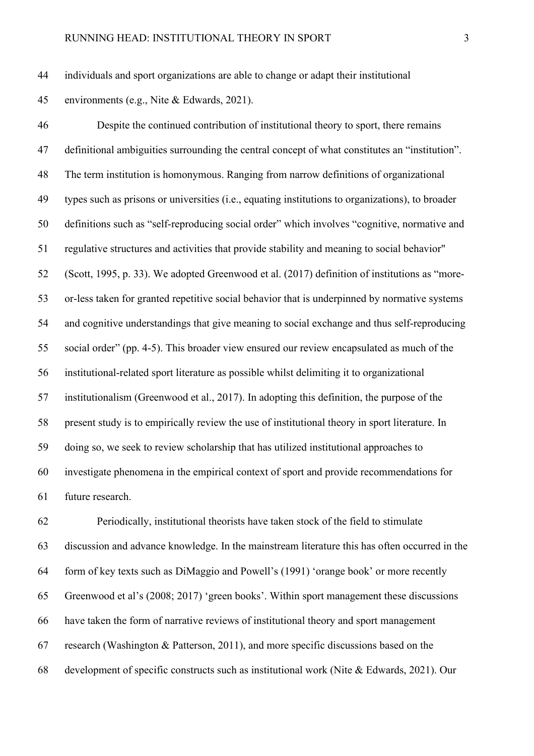individuals and sport organizations are able to change or adapt their institutional

environments (e.g., Nite & Edwards, 2021).

 Despite the continued contribution of institutional theory to sport, there remains definitional ambiguities surrounding the central concept of what constitutes an "institution". The term institution is homonymous. Ranging from narrow definitions of organizational types such as prisons or universities (i.e., equating institutions to organizations), to broader definitions such as "self-reproducing social order" which involves "cognitive, normative and regulative structures and activities that provide stability and meaning to social behavior" (Scott, 1995, p. 33). We adopted Greenwood et al. (2017) definition of institutions as "more- or-less taken for granted repetitive social behavior that is underpinned by normative systems and cognitive understandings that give meaning to social exchange and thus self-reproducing social order" (pp. 4-5). This broader view ensured our review encapsulated as much of the institutional-related sport literature as possible whilst delimiting it to organizational institutionalism (Greenwood et al., 2017). In adopting this definition, the purpose of the present study is to empirically review the use of institutional theory in sport literature. In doing so, we seek to review scholarship that has utilized institutional approaches to investigate phenomena in the empirical context of sport and provide recommendations for future research.

 Periodically, institutional theorists have taken stock of the field to stimulate discussion and advance knowledge. In the mainstream literature this has often occurred in the form of key texts such as DiMaggio and Powell's (1991) 'orange book' or more recently Greenwood et al's (2008; 2017) 'green books'. Within sport management these discussions have taken the form of narrative reviews of institutional theory and sport management research (Washington & Patterson, 2011), and more specific discussions based on the development of specific constructs such as institutional work (Nite & Edwards, 2021). Our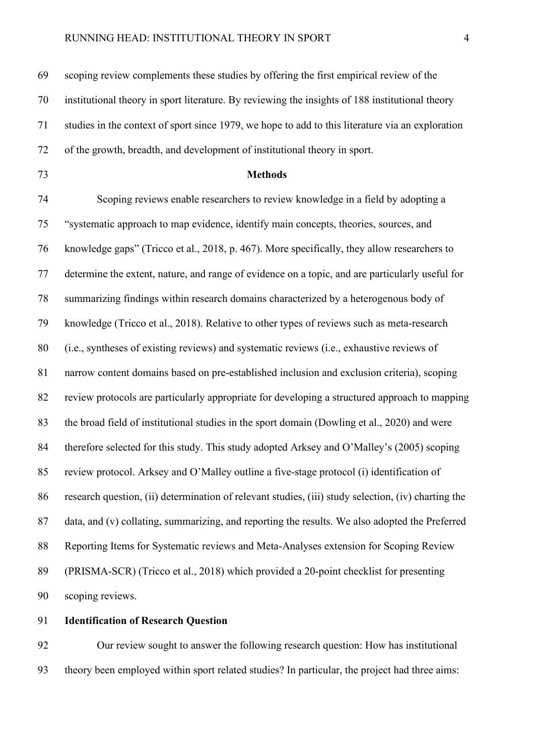scoping review complements these studies by offering the first empirical review of the institutional theory in sport literature. By reviewing the insights of 188 institutional theory studies in the context of sport since 1979, we hope to add to this literature via an exploration of the growth, breadth, and development of institutional theory in sport. **Methods** Scoping reviews enable researchers to review knowledge in a field by adopting a "systematic approach to map evidence, identify main concepts, theories, sources, and knowledge gaps" (Tricco et al., 2018, p. 467). More specifically, they allow researchers to determine the extent, nature, and range of evidence on a topic, and are particularly useful for summarizing findings within research domains characterized by a heterogenous body of knowledge (Tricco et al., 2018). Relative to other types of reviews such as meta-research (i.e., syntheses of existing reviews) and systematic reviews (i.e., exhaustive reviews of narrow content domains based on pre-established inclusion and exclusion criteria), scoping review protocols are particularly appropriate for developing a structured approach to mapping the broad field of institutional studies in the sport domain (Dowling et al., 2020) and were 84 therefore selected for this study. This study adopted Arksey and O'Malley's (2005) scoping review protocol. Arksey and O'Malley outline a five-stage protocol (i) identification of research question, (ii) determination of relevant studies, (iii) study selection, (iv) charting the data, and (v) collating, summarizing, and reporting the results. We also adopted the Preferred Reporting Items for Systematic reviews and Meta-Analyses extension for Scoping Review (PRISMA-SCR) (Tricco et al., 2018) which provided a 20-point checklist for presenting scoping reviews.

## **Identification of Research Question**

 Our review sought to answer the following research question: How has institutional theory been employed within sport related studies? In particular, the project had three aims: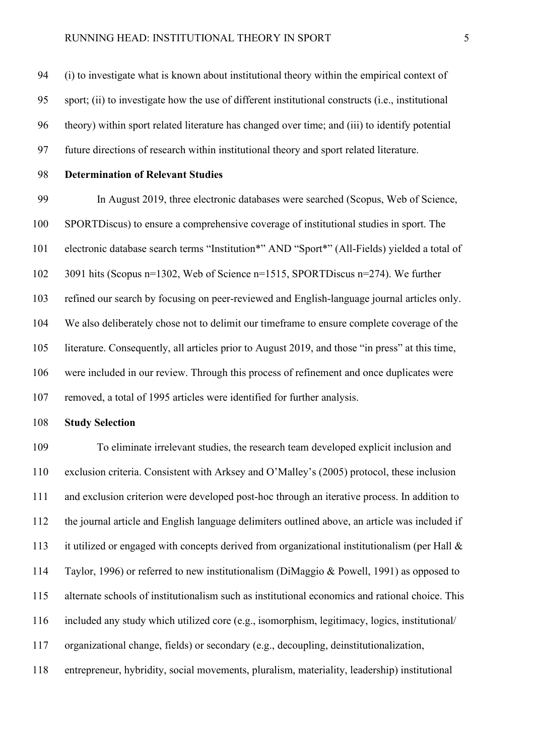(i) to investigate what is known about institutional theory within the empirical context of sport; (ii) to investigate how the use of different institutional constructs (i.e., institutional theory) within sport related literature has changed over time; and (iii) to identify potential future directions of research within institutional theory and sport related literature.

# **Determination of Relevant Studies**

 In August 2019, three electronic databases were searched (Scopus, Web of Science, SPORTDiscus) to ensure a comprehensive coverage of institutional studies in sport. The electronic database search terms "Institution\*" AND "Sport\*" (All-Fields) yielded a total of 3091 hits (Scopus n=1302, Web of Science n=1515, SPORTDiscus n=274). We further refined our search by focusing on peer-reviewed and English-language journal articles only. We also deliberately chose not to delimit our timeframe to ensure complete coverage of the literature. Consequently, all articles prior to August 2019, and those "in press" at this time, were included in our review. Through this process of refinement and once duplicates were removed, a total of 1995 articles were identified for further analysis.

## **Study Selection**

 To eliminate irrelevant studies, the research team developed explicit inclusion and exclusion criteria. Consistent with Arksey and O'Malley's (2005) protocol, these inclusion and exclusion criterion were developed post-hoc through an iterative process. In addition to the journal article and English language delimiters outlined above, an article was included if it utilized or engaged with concepts derived from organizational institutionalism (per Hall & Taylor, 1996) or referred to new institutionalism (DiMaggio & Powell, 1991) as opposed to alternate schools of institutionalism such as institutional economics and rational choice. This included any study which utilized core (e.g., isomorphism, legitimacy, logics, institutional/ organizational change, fields) or secondary (e.g., decoupling, deinstitutionalization, entrepreneur, hybridity, social movements, pluralism, materiality, leadership) institutional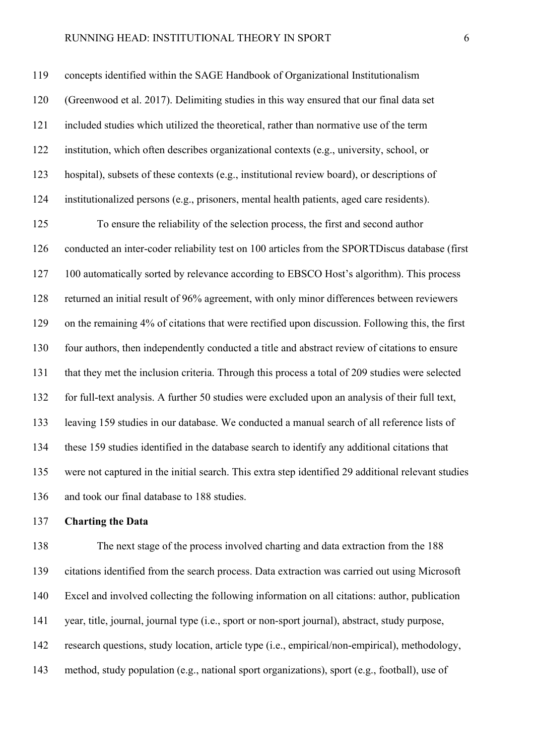concepts identified within the SAGE Handbook of Organizational Institutionalism (Greenwood et al. 2017). Delimiting studies in this way ensured that our final data set included studies which utilized the theoretical, rather than normative use of the term institution, which often describes organizational contexts (e.g., university, school, or hospital), subsets of these contexts (e.g., institutional review board), or descriptions of institutionalized persons (e.g., prisoners, mental health patients, aged care residents).

 To ensure the reliability of the selection process, the first and second author conducted an inter-coder reliability test on 100 articles from the SPORTDiscus database (first 100 automatically sorted by relevance according to EBSCO Host's algorithm). This process returned an initial result of 96% agreement, with only minor differences between reviewers on the remaining 4% of citations that were rectified upon discussion. Following this, the first four authors, then independently conducted a title and abstract review of citations to ensure that they met the inclusion criteria. Through this process a total of 209 studies were selected for full-text analysis. A further 50 studies were excluded upon an analysis of their full text, leaving 159 studies in our database. We conducted a manual search of all reference lists of these 159 studies identified in the database search to identify any additional citations that were not captured in the initial search. This extra step identified 29 additional relevant studies and took our final database to 188 studies.

## **Charting the Data**

 The next stage of the process involved charting and data extraction from the 188 citations identified from the search process. Data extraction was carried out using Microsoft Excel and involved collecting the following information on all citations: author, publication year, title, journal, journal type (i.e., sport or non-sport journal), abstract, study purpose, research questions, study location, article type (i.e., empirical/non-empirical), methodology, method, study population (e.g., national sport organizations), sport (e.g., football), use of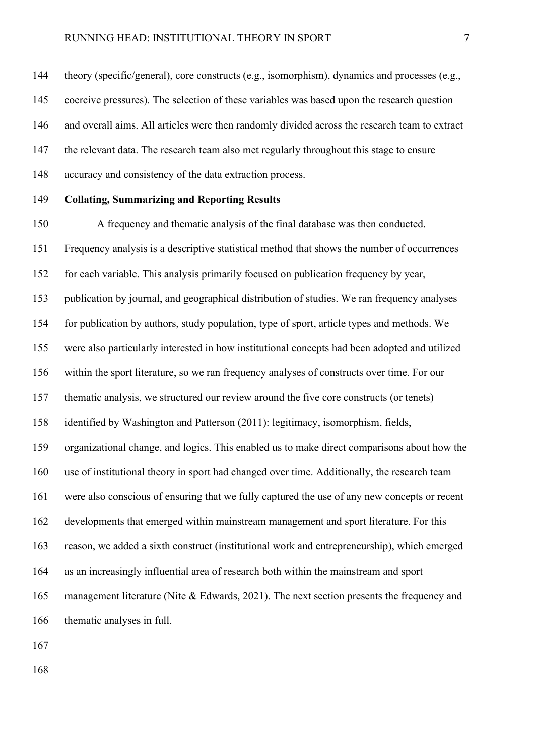theory (specific/general), core constructs (e.g., isomorphism), dynamics and processes (e.g.,

coercive pressures). The selection of these variables was based upon the research question

and overall aims. All articles were then randomly divided across the research team to extract

the relevant data. The research team also met regularly throughout this stage to ensure

accuracy and consistency of the data extraction process.

## **Collating, Summarizing and Reporting Results**

 A frequency and thematic analysis of the final database was then conducted. Frequency analysis is a descriptive statistical method that shows the number of occurrences for each variable. This analysis primarily focused on publication frequency by year, publication by journal, and geographical distribution of studies. We ran frequency analyses for publication by authors, study population, type of sport, article types and methods. We were also particularly interested in how institutional concepts had been adopted and utilized within the sport literature, so we ran frequency analyses of constructs over time. For our thematic analysis, we structured our review around the five core constructs (or tenets) identified by Washington and Patterson (2011): legitimacy, isomorphism, fields, organizational change, and logics. This enabled us to make direct comparisons about how the use of institutional theory in sport had changed over time. Additionally, the research team were also conscious of ensuring that we fully captured the use of any new concepts or recent developments that emerged within mainstream management and sport literature. For this reason, we added a sixth construct (institutional work and entrepreneurship), which emerged as an increasingly influential area of research both within the mainstream and sport 165 management literature (Nite & Edwards, 2021). The next section presents the frequency and thematic analyses in full.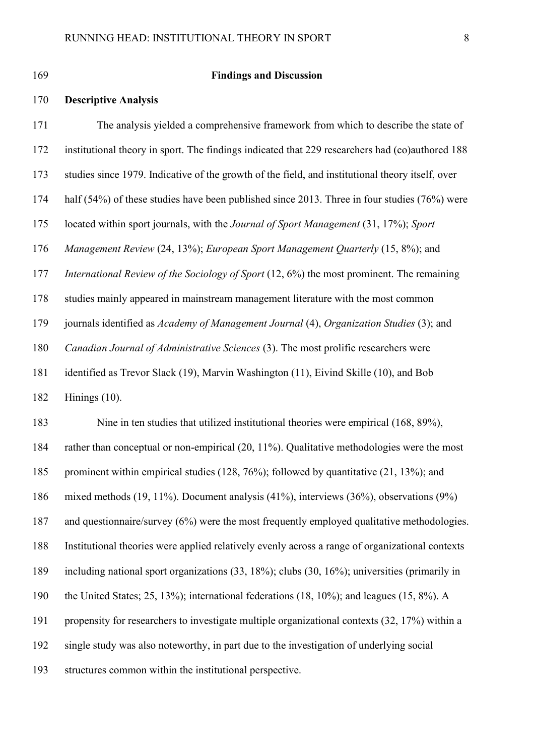#### **Findings and Discussion**

#### **Descriptive Analysis**

 The analysis yielded a comprehensive framework from which to describe the state of institutional theory in sport. The findings indicated that 229 researchers had (co)authored 188 studies since 1979. Indicative of the growth of the field, and institutional theory itself, over half (54%) of these studies have been published since 2013. Three in four studies (76%) were located within sport journals, with the *Journal of Sport Management* (31, 17%); *Sport Management Review* (24, 13%); *European Sport Management Quarterly* (15, 8%); and *International Review of the Sociology of Sport* (12, 6%) the most prominent. The remaining studies mainly appeared in mainstream management literature with the most common journals identified as *Academy of Management Journal* (4), *Organization Studies* (3); and *Canadian Journal of Administrative Sciences* (3). The most prolific researchers were identified as Trevor Slack (19), Marvin Washington (11), Eivind Skille (10), and Bob Hinings (10). Nine in ten studies that utilized institutional theories were empirical (168, 89%),

 rather than conceptual or non-empirical (20, 11%). Qualitative methodologies were the most prominent within empirical studies (128, 76%); followed by quantitative (21, 13%); and mixed methods (19, 11%). Document analysis (41%), interviews (36%), observations (9%) and questionnaire/survey (6%) were the most frequently employed qualitative methodologies.

Institutional theories were applied relatively evenly across a range of organizational contexts

including national sport organizations (33, 18%); clubs (30, 16%); universities (primarily in

the United States; 25, 13%); international federations (18, 10%); and leagues (15, 8%). A

propensity for researchers to investigate multiple organizational contexts (32, 17%) within a

single study was also noteworthy, in part due to the investigation of underlying social

structures common within the institutional perspective.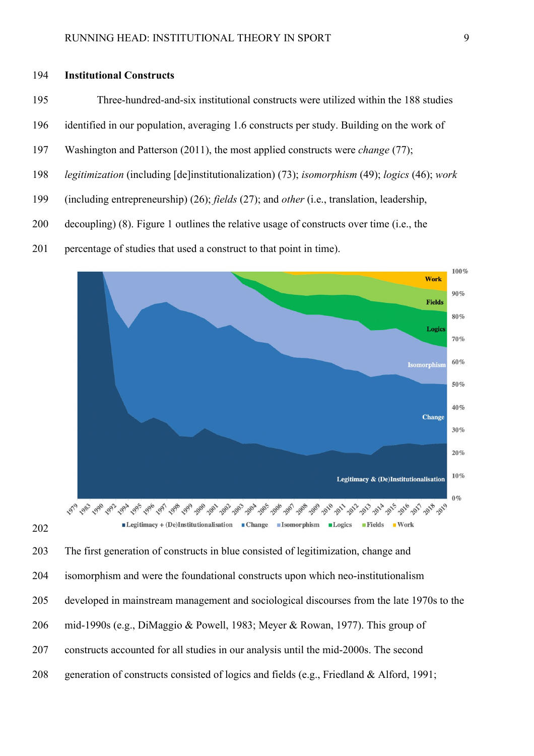## 194 **Institutional Constructs**

- 195 Three-hundred-and-six institutional constructs were utilized within the 188 studies
- 196 identified in our population, averaging 1.6 constructs per study. Building on the work of
- 197 Washington and Patterson (2011), the most applied constructs were *change* (77);
- 198 *legitimization* (including [de]institutionalization) (73); *isomorphism* (49); *logics* (46); *work*
- 199 (including entrepreneurship) (26); *fields* (27); and *other* (i.e., translation, leadership,
- 200 decoupling) (8). Figure 1 outlines the relative usage of constructs over time (i.e., the
- 201 percentage of studies that used a construct to that point in time).



202

203 The first generation of constructs in blue consisted of legitimization, change and

- 204 isomorphism and were the foundational constructs upon which neo-institutionalism
- 205 developed in mainstream management and sociological discourses from the late 1970s to the
- 206 mid-1990s (e.g., DiMaggio & Powell, 1983; Meyer & Rowan, 1977). This group of
- 207 constructs accounted for all studies in our analysis until the mid-2000s. The second
- 208 generation of constructs consisted of logics and fields (e.g., Friedland & Alford, 1991;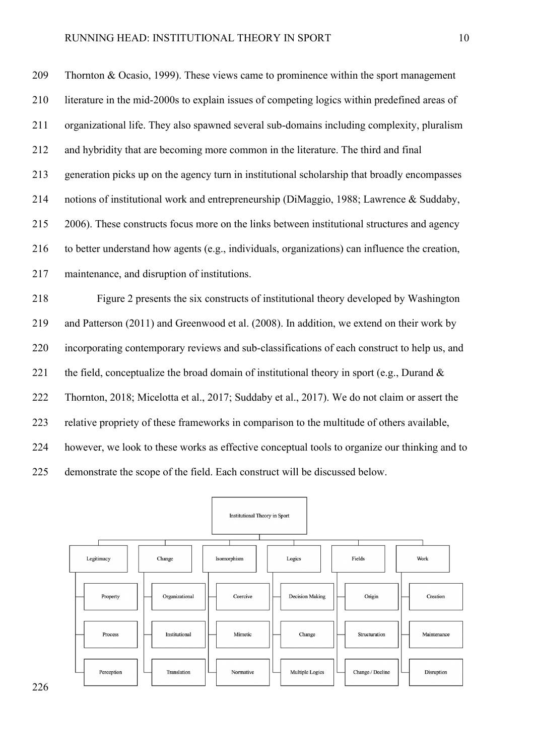209 Thornton & Ocasio, 1999). These views came to prominence within the sport management 210 literature in the mid-2000s to explain issues of competing logics within predefined areas of 211 organizational life. They also spawned several sub-domains including complexity, pluralism 212 and hybridity that are becoming more common in the literature. The third and final 213 generation picks up on the agency turn in institutional scholarship that broadly encompasses 214 notions of institutional work and entrepreneurship (DiMaggio, 1988; Lawrence & Suddaby, 215 2006). These constructs focus more on the links between institutional structures and agency 216 to better understand how agents (e.g., individuals, organizations) can influence the creation, 217 maintenance, and disruption of institutions.

218 Figure 2 presents the six constructs of institutional theory developed by Washington 219 and Patterson (2011) and Greenwood et al. (2008). In addition, we extend on their work by 220 incorporating contemporary reviews and sub-classifications of each construct to help us, and 221 the field, conceptualize the broad domain of institutional theory in sport (e.g., Durand  $\&$ 222 Thornton, 2018; Micelotta et al., 2017; Suddaby et al., 2017). We do not claim or assert the 223 relative propriety of these frameworks in comparison to the multitude of others available, 224 however, we look to these works as effective conceptual tools to organize our thinking and to 225 demonstrate the scope of the field. Each construct will be discussed below.



226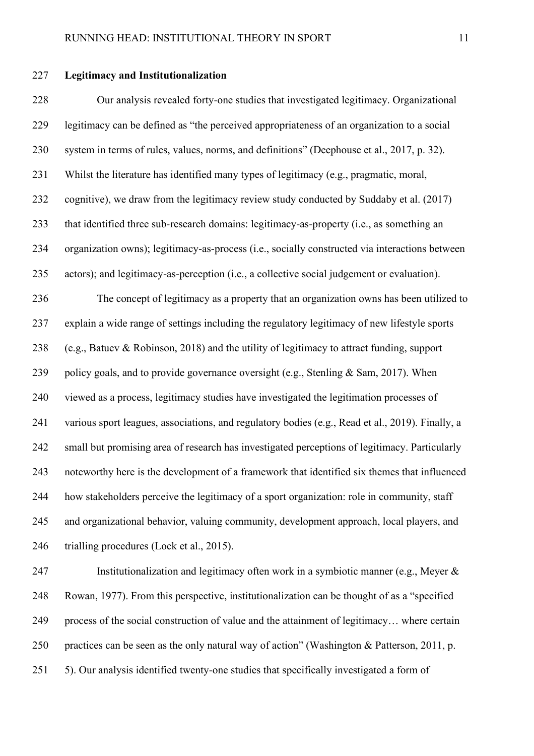## **Legitimacy and Institutionalization**

 Our analysis revealed forty-one studies that investigated legitimacy. Organizational legitimacy can be defined as "the perceived appropriateness of an organization to a social system in terms of rules, values, norms, and definitions" (Deephouse et al., 2017, p. 32). Whilst the literature has identified many types of legitimacy (e.g., pragmatic, moral, cognitive), we draw from the legitimacy review study conducted by Suddaby et al. (2017) that identified three sub-research domains: legitimacy-as-property (i.e., as something an organization owns); legitimacy-as-process (i.e., socially constructed via interactions between actors); and legitimacy-as-perception (i.e., a collective social judgement or evaluation). The concept of legitimacy as a property that an organization owns has been utilized to explain a wide range of settings including the regulatory legitimacy of new lifestyle sports (e.g., Batuev & Robinson, 2018) and the utility of legitimacy to attract funding, support 239 policy goals, and to provide governance oversight (e.g., Stenling & Sam, 2017). When viewed as a process, legitimacy studies have investigated the legitimation processes of various sport leagues, associations, and regulatory bodies (e.g., Read et al., 2019). Finally, a small but promising area of research has investigated perceptions of legitimacy. Particularly noteworthy here is the development of a framework that identified six themes that influenced how stakeholders perceive the legitimacy of a sport organization: role in community, staff and organizational behavior, valuing community, development approach, local players, and 246 trialling procedures (Lock et al., 2015).

 Institutionalization and legitimacy often work in a symbiotic manner (e.g., Meyer & Rowan, 1977). From this perspective, institutionalization can be thought of as a "specified process of the social construction of value and the attainment of legitimacy… where certain practices can be seen as the only natural way of action" (Washington & Patterson, 2011, p. 5). Our analysis identified twenty-one studies that specifically investigated a form of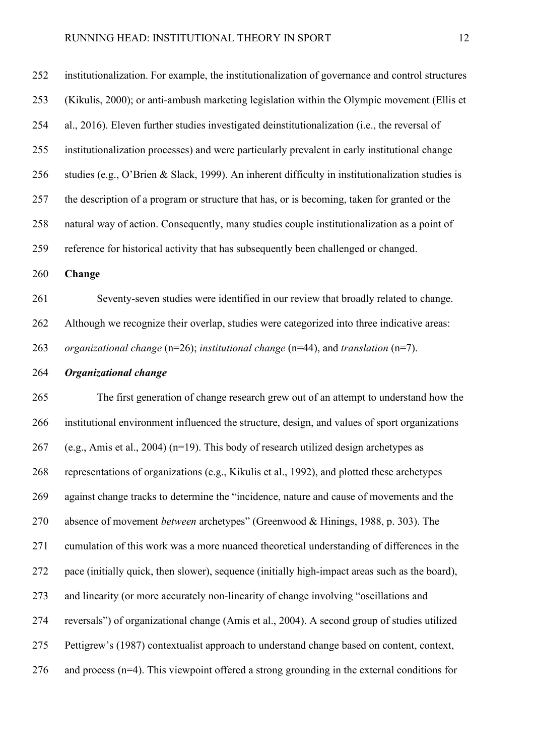institutionalization. For example, the institutionalization of governance and control structures (Kikulis, 2000); or anti-ambush marketing legislation within the Olympic movement (Ellis et al., 2016). Eleven further studies investigated deinstitutionalization (i.e., the reversal of institutionalization processes) and were particularly prevalent in early institutional change studies (e.g., O'Brien & Slack, 1999). An inherent difficulty in institutionalization studies is the description of a program or structure that has, or is becoming, taken for granted or the natural way of action. Consequently, many studies couple institutionalization as a point of reference for historical activity that has subsequently been challenged or changed.

**Change**

 Seventy-seven studies were identified in our review that broadly related to change. Although we recognize their overlap, studies were categorized into three indicative areas: *organizational change* (n=26); *institutional change* (n=44), and *translation* (n=7).

*Organizational change* 

 The first generation of change research grew out of an attempt to understand how the institutional environment influenced the structure, design, and values of sport organizations 267 (e.g., Amis et al., 2004) ( $n=19$ ). This body of research utilized design archetypes as representations of organizations (e.g., Kikulis et al., 1992), and plotted these archetypes against change tracks to determine the "incidence, nature and cause of movements and the absence of movement *between* archetypes" (Greenwood & Hinings, 1988, p. 303). The cumulation of this work was a more nuanced theoretical understanding of differences in the pace (initially quick, then slower), sequence (initially high-impact areas such as the board), and linearity (or more accurately non-linearity of change involving "oscillations and reversals") of organizational change (Amis et al., 2004). A second group of studies utilized Pettigrew's (1987) contextualist approach to understand change based on content, context, 276 and process  $(n=4)$ . This viewpoint offered a strong grounding in the external conditions for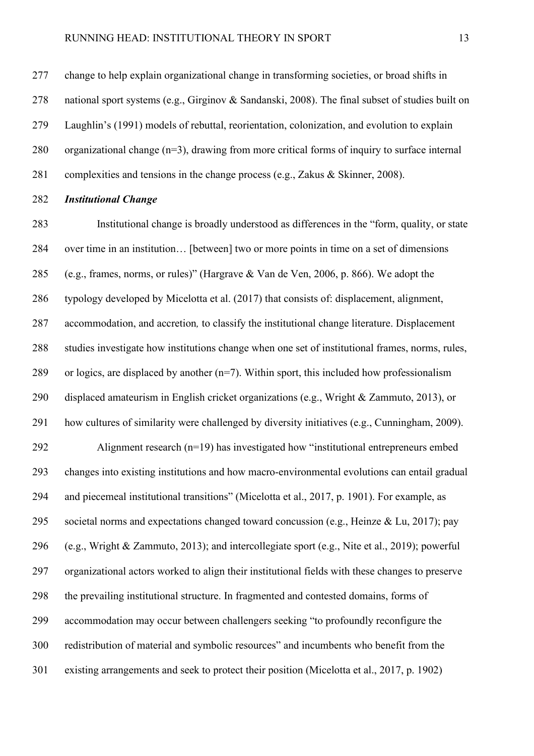change to help explain organizational change in transforming societies, or broad shifts in national sport systems (e.g., Girginov & Sandanski, 2008). The final subset of studies built on Laughlin's (1991) models of rebuttal, reorientation, colonization, and evolution to explain organizational change (n=3), drawing from more critical forms of inquiry to surface internal complexities and tensions in the change process (e.g., Zakus & Skinner, 2008).

#### *Institutional Change*

 Institutional change is broadly understood as differences in the "form, quality, or state over time in an institution… [between] two or more points in time on a set of dimensions (e.g., frames, norms, or rules)" (Hargrave & Van de Ven, 2006, p. 866). We adopt the typology developed by Micelotta et al. (2017) that consists of: displacement, alignment, accommodation, and accretion*,* to classify the institutional change literature. Displacement studies investigate how institutions change when one set of institutional frames, norms, rules, 289 or logics, are displaced by another  $(n=7)$ . Within sport, this included how professionalism displaced amateurism in English cricket organizations (e.g., Wright & Zammuto, 2013), or how cultures of similarity were challenged by diversity initiatives (e.g., Cunningham, 2009). Alignment research (n=19) has investigated how "institutional entrepreneurs embed changes into existing institutions and how macro-environmental evolutions can entail gradual and piecemeal institutional transitions" (Micelotta et al., 2017, p. 1901). For example, as societal norms and expectations changed toward concussion (e.g., Heinze & Lu, 2017); pay (e.g., Wright & Zammuto, 2013); and intercollegiate sport (e.g., Nite et al., 2019); powerful organizational actors worked to align their institutional fields with these changes to preserve the prevailing institutional structure. In fragmented and contested domains, forms of accommodation may occur between challengers seeking "to profoundly reconfigure the redistribution of material and symbolic resources" and incumbents who benefit from the existing arrangements and seek to protect their position (Micelotta et al., 2017, p. 1902)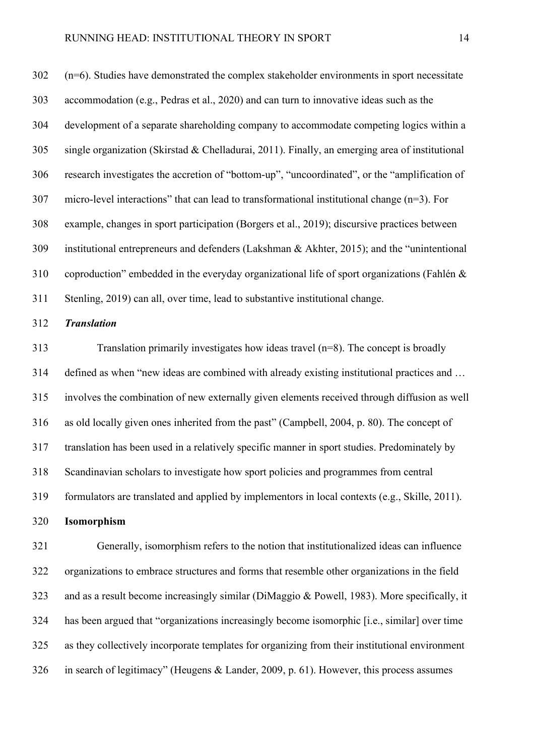(n=6). Studies have demonstrated the complex stakeholder environments in sport necessitate accommodation (e.g., Pedras et al., 2020) and can turn to innovative ideas such as the development of a separate shareholding company to accommodate competing logics within a single organization (Skirstad & Chelladurai, 2011). Finally, an emerging area of institutional research investigates the accretion of "bottom-up", "uncoordinated", or the "amplification of micro-level interactions" that can lead to transformational institutional change (n=3). For example, changes in sport participation (Borgers et al., 2019); discursive practices between institutional entrepreneurs and defenders (Lakshman & Akhter, 2015); and the "unintentional coproduction" embedded in the everyday organizational life of sport organizations (Fahlén & Stenling, 2019) can all, over time, lead to substantive institutional change.

## *Translation*

 Translation primarily investigates how ideas travel (n=8). The concept is broadly defined as when "new ideas are combined with already existing institutional practices and … involves the combination of new externally given elements received through diffusion as well as old locally given ones inherited from the past" (Campbell, 2004, p. 80). The concept of translation has been used in a relatively specific manner in sport studies. Predominately by Scandinavian scholars to investigate how sport policies and programmes from central formulators are translated and applied by implementors in local contexts (e.g., Skille, 2011). **Isomorphism**

 Generally, isomorphism refers to the notion that institutionalized ideas can influence organizations to embrace structures and forms that resemble other organizations in the field and as a result become increasingly similar (DiMaggio & Powell, 1983). More specifically, it has been argued that "organizations increasingly become isomorphic [i.e., similar] over time as they collectively incorporate templates for organizing from their institutional environment in search of legitimacy" (Heugens & Lander, 2009, p. 61). However, this process assumes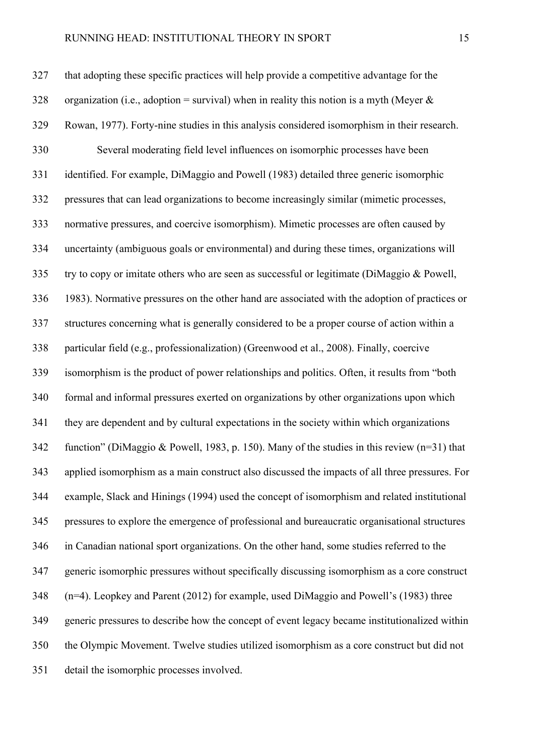## RUNNING HEAD: INSTITUTIONAL THEORY IN SPORT 15

 that adopting these specific practices will help provide a competitive advantage for the 328 organization (i.e., adoption = survival) when in reality this notion is a myth (Meyer  $\&$  Rowan, 1977). Forty-nine studies in this analysis considered isomorphism in their research. Several moderating field level influences on isomorphic processes have been identified. For example, DiMaggio and Powell (1983) detailed three generic isomorphic pressures that can lead organizations to become increasingly similar (mimetic processes, normative pressures, and coercive isomorphism). Mimetic processes are often caused by uncertainty (ambiguous goals or environmental) and during these times, organizations will try to copy or imitate others who are seen as successful or legitimate (DiMaggio & Powell, 1983). Normative pressures on the other hand are associated with the adoption of practices or structures concerning what is generally considered to be a proper course of action within a particular field (e.g., professionalization) (Greenwood et al., 2008). Finally, coercive isomorphism is the product of power relationships and politics. Often, it results from "both formal and informal pressures exerted on organizations by other organizations upon which they are dependent and by cultural expectations in the society within which organizations function" (DiMaggio & Powell, 1983, p. 150). Many of the studies in this review (n=31) that applied isomorphism as a main construct also discussed the impacts of all three pressures. For example, Slack and Hinings (1994) used the concept of isomorphism and related institutional pressures to explore the emergence of professional and bureaucratic organisational structures in Canadian national sport organizations. On the other hand, some studies referred to the generic isomorphic pressures without specifically discussing isomorphism as a core construct (n=4). Leopkey and Parent (2012) for example, used DiMaggio and Powell's (1983) three generic pressures to describe how the concept of event legacy became institutionalized within the Olympic Movement. Twelve studies utilized isomorphism as a core construct but did not detail the isomorphic processes involved.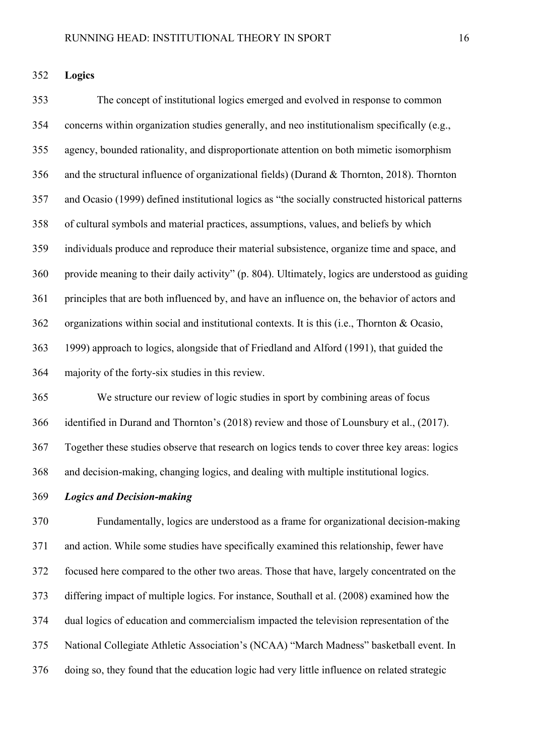**Logics**

 The concept of institutional logics emerged and evolved in response to common concerns within organization studies generally, and neo institutionalism specifically (e.g., agency, bounded rationality, and disproportionate attention on both mimetic isomorphism and the structural influence of organizational fields) (Durand & Thornton, 2018). Thornton and Ocasio (1999) defined institutional logics as "the socially constructed historical patterns of cultural symbols and material practices, assumptions, values, and beliefs by which individuals produce and reproduce their material subsistence, organize time and space, and provide meaning to their daily activity" (p. 804). Ultimately, logics are understood as guiding principles that are both influenced by, and have an influence on, the behavior of actors and organizations within social and institutional contexts. It is this (i.e., Thornton & Ocasio, 1999) approach to logics, alongside that of Friedland and Alford (1991), that guided the majority of the forty-six studies in this review.

 We structure our review of logic studies in sport by combining areas of focus identified in Durand and Thornton's (2018) review and those of Lounsbury et al., (2017). Together these studies observe that research on logics tends to cover three key areas: logics and decision-making, changing logics, and dealing with multiple institutional logics.

*Logics and Decision-making*

 Fundamentally, logics are understood as a frame for organizational decision-making and action. While some studies have specifically examined this relationship, fewer have focused here compared to the other two areas. Those that have, largely concentrated on the differing impact of multiple logics. For instance, Southall et al. (2008) examined how the dual logics of education and commercialism impacted the television representation of the National Collegiate Athletic Association's (NCAA) "March Madness" basketball event. In doing so, they found that the education logic had very little influence on related strategic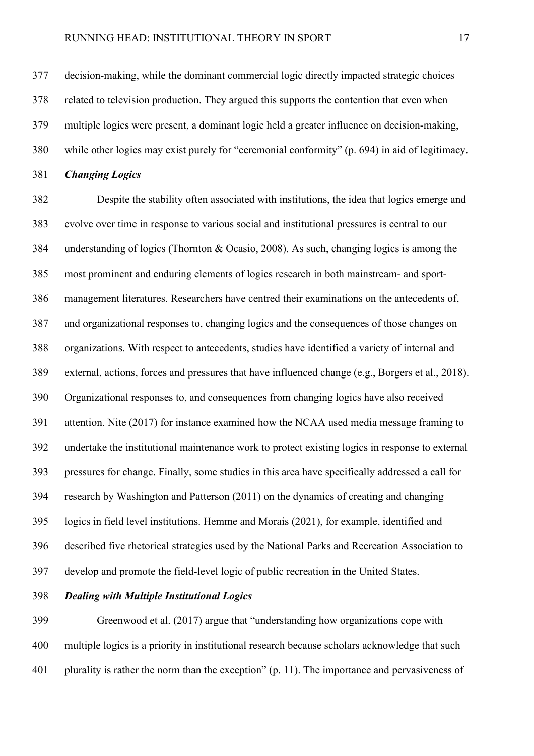decision-making, while the dominant commercial logic directly impacted strategic choices related to television production. They argued this supports the contention that even when multiple logics were present, a dominant logic held a greater influence on decision-making, while other logics may exist purely for "ceremonial conformity" (p. 694) in aid of legitimacy.

*Changing Logics*

 Despite the stability often associated with institutions, the idea that logics emerge and evolve over time in response to various social and institutional pressures is central to our understanding of logics (Thornton & Ocasio, 2008). As such, changing logics is among the most prominent and enduring elements of logics research in both mainstream- and sport- management literatures. Researchers have centred their examinations on the antecedents of, and organizational responses to, changing logics and the consequences of those changes on organizations. With respect to antecedents, studies have identified a variety of internal and external, actions, forces and pressures that have influenced change (e.g., Borgers et al., 2018). Organizational responses to, and consequences from changing logics have also received attention. Nite (2017) for instance examined how the NCAA used media message framing to undertake the institutional maintenance work to protect existing logics in response to external pressures for change. Finally, some studies in this area have specifically addressed a call for research by Washington and Patterson (2011) on the dynamics of creating and changing logics in field level institutions. Hemme and Morais (2021), for example, identified and described five rhetorical strategies used by the National Parks and Recreation Association to develop and promote the field-level logic of public recreation in the United States.

*Dealing with Multiple Institutional Logics*

 Greenwood et al. (2017) argue that "understanding how organizations cope with multiple logics is a priority in institutional research because scholars acknowledge that such 401 plurality is rather the norm than the exception" (p. 11). The importance and pervasiveness of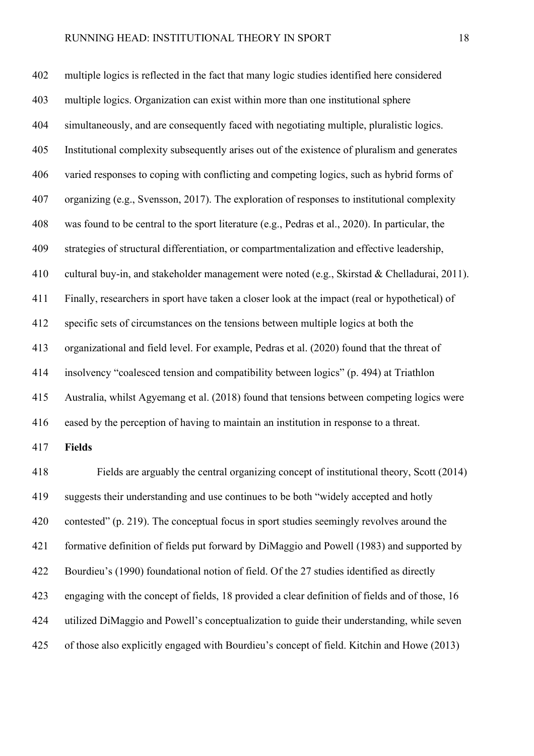multiple logics is reflected in the fact that many logic studies identified here considered multiple logics. Organization can exist within more than one institutional sphere simultaneously, and are consequently faced with negotiating multiple, pluralistic logics. Institutional complexity subsequently arises out of the existence of pluralism and generates varied responses to coping with conflicting and competing logics, such as hybrid forms of organizing (e.g., Svensson, 2017). The exploration of responses to institutional complexity was found to be central to the sport literature (e.g., Pedras et al., 2020). In particular, the strategies of structural differentiation, or compartmentalization and effective leadership, cultural buy-in, and stakeholder management were noted (e.g., Skirstad & Chelladurai, 2011). Finally, researchers in sport have taken a closer look at the impact (real or hypothetical) of specific sets of circumstances on the tensions between multiple logics at both the organizational and field level. For example, Pedras et al. (2020) found that the threat of insolvency "coalesced tension and compatibility between logics" (p. 494) at Triathlon Australia, whilst Agyemang et al. (2018) found that tensions between competing logics were eased by the perception of having to maintain an institution in response to a threat. **Fields** Fields are arguably the central organizing concept of institutional theory, Scott (2014) suggests their understanding and use continues to be both "widely accepted and hotly contested" (p. 219). The conceptual focus in sport studies seemingly revolves around the formative definition of fields put forward by DiMaggio and Powell (1983) and supported by Bourdieu's (1990) foundational notion of field. Of the 27 studies identified as directly engaging with the concept of fields, 18 provided a clear definition of fields and of those, 16 utilized DiMaggio and Powell's conceptualization to guide their understanding, while seven of those also explicitly engaged with Bourdieu's concept of field. Kitchin and Howe (2013)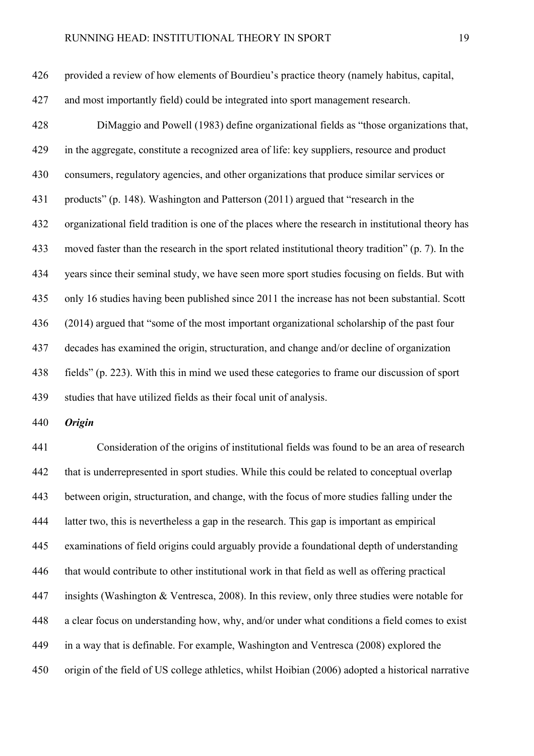provided a review of how elements of Bourdieu's practice theory (namely habitus, capital,

and most importantly field) could be integrated into sport management research.

 DiMaggio and Powell (1983) define organizational fields as "those organizations that, in the aggregate, constitute a recognized area of life: key suppliers, resource and product consumers, regulatory agencies, and other organizations that produce similar services or products" (p. 148). Washington and Patterson (2011) argued that "research in the organizational field tradition is one of the places where the research in institutional theory has moved faster than the research in the sport related institutional theory tradition" (p. 7). In the years since their seminal study, we have seen more sport studies focusing on fields. But with only 16 studies having been published since 2011 the increase has not been substantial. Scott (2014) argued that "some of the most important organizational scholarship of the past four decades has examined the origin, structuration, and change and/or decline of organization fields" (p. 223). With this in mind we used these categories to frame our discussion of sport studies that have utilized fields as their focal unit of analysis.

*Origin*

 Consideration of the origins of institutional fields was found to be an area of research that is underrepresented in sport studies. While this could be related to conceptual overlap between origin, structuration, and change, with the focus of more studies falling under the latter two, this is nevertheless a gap in the research. This gap is important as empirical examinations of field origins could arguably provide a foundational depth of understanding that would contribute to other institutional work in that field as well as offering practical insights (Washington & Ventresca, 2008). In this review, only three studies were notable for a clear focus on understanding how, why, and/or under what conditions a field comes to exist in a way that is definable. For example, Washington and Ventresca (2008) explored the origin of the field of US college athletics, whilst Hoibian (2006) adopted a historical narrative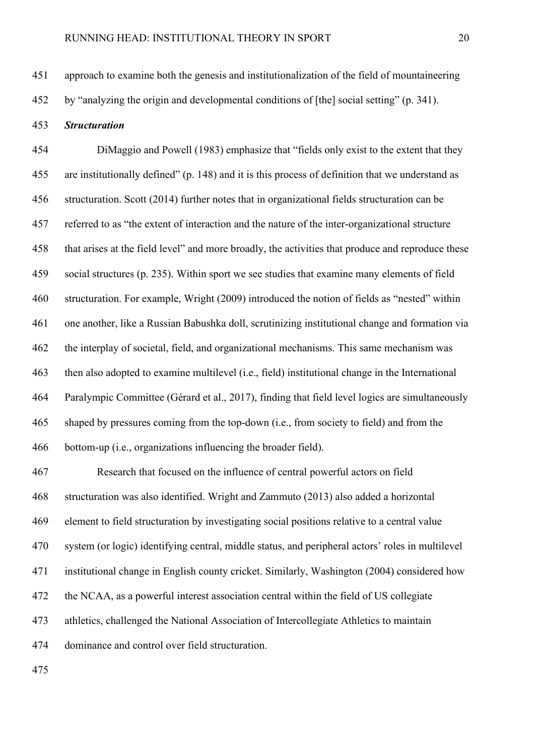by "analyzing the origin and developmental conditions of [the] social setting" (p. 341).

## *Structuration*

 DiMaggio and Powell (1983) emphasize that "fields only exist to the extent that they are institutionally defined" (p. 148) and it is this process of definition that we understand as structuration. Scott (2014) further notes that in organizational fields structuration can be referred to as "the extent of interaction and the nature of the inter-organizational structure that arises at the field level" and more broadly, the activities that produce and reproduce these social structures (p. 235). Within sport we see studies that examine many elements of field structuration. For example, Wright (2009) introduced the notion of fields as "nested" within one another, like a Russian Babushka doll, scrutinizing institutional change and formation via the interplay of societal, field, and organizational mechanisms. This same mechanism was then also adopted to examine multilevel (i.e., field) institutional change in the International Paralympic Committee (Gérard et al., 2017), finding that field level logics are simultaneously shaped by pressures coming from the top-down (i.e., from society to field) and from the bottom-up (i.e., organizations influencing the broader field).

 Research that focused on the influence of central powerful actors on field structuration was also identified. Wright and Zammuto (2013) also added a horizontal element to field structuration by investigating social positions relative to a central value system (or logic) identifying central, middle status, and peripheral actors' roles in multilevel institutional change in English county cricket. Similarly, Washington (2004) considered how the NCAA, as a powerful interest association central within the field of US collegiate athletics, challenged the National Association of Intercollegiate Athletics to maintain dominance and control over field structuration.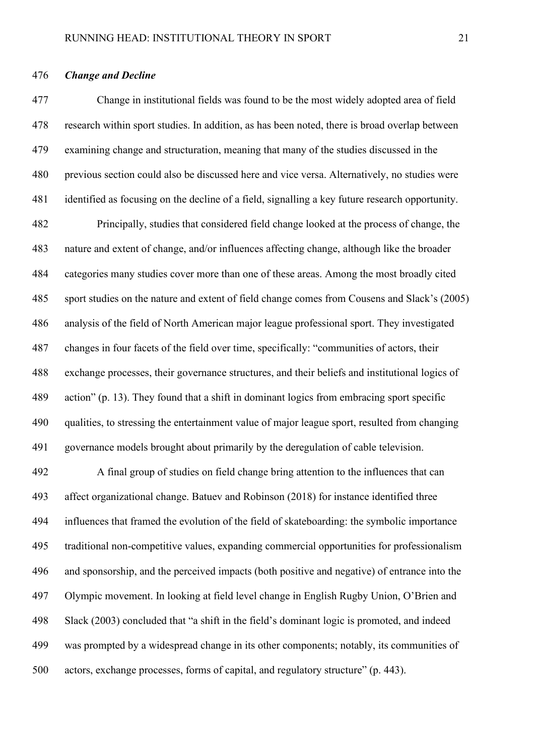## *Change and Decline*

 Change in institutional fields was found to be the most widely adopted area of field research within sport studies. In addition, as has been noted, there is broad overlap between examining change and structuration, meaning that many of the studies discussed in the previous section could also be discussed here and vice versa. Alternatively, no studies were identified as focusing on the decline of a field, signalling a key future research opportunity. Principally, studies that considered field change looked at the process of change, the nature and extent of change, and/or influences affecting change, although like the broader categories many studies cover more than one of these areas. Among the most broadly cited sport studies on the nature and extent of field change comes from Cousens and Slack's (2005) analysis of the field of North American major league professional sport. They investigated changes in four facets of the field over time, specifically: "communities of actors, their exchange processes, their governance structures, and their beliefs and institutional logics of action" (p. 13). They found that a shift in dominant logics from embracing sport specific qualities, to stressing the entertainment value of major league sport, resulted from changing governance models brought about primarily by the deregulation of cable television.

 A final group of studies on field change bring attention to the influences that can affect organizational change. Batuev and Robinson (2018) for instance identified three influences that framed the evolution of the field of skateboarding: the symbolic importance traditional non-competitive values, expanding commercial opportunities for professionalism and sponsorship, and the perceived impacts (both positive and negative) of entrance into the Olympic movement. In looking at field level change in English Rugby Union, O'Brien and Slack (2003) concluded that "a shift in the field's dominant logic is promoted, and indeed was prompted by a widespread change in its other components; notably, its communities of actors, exchange processes, forms of capital, and regulatory structure" (p. 443).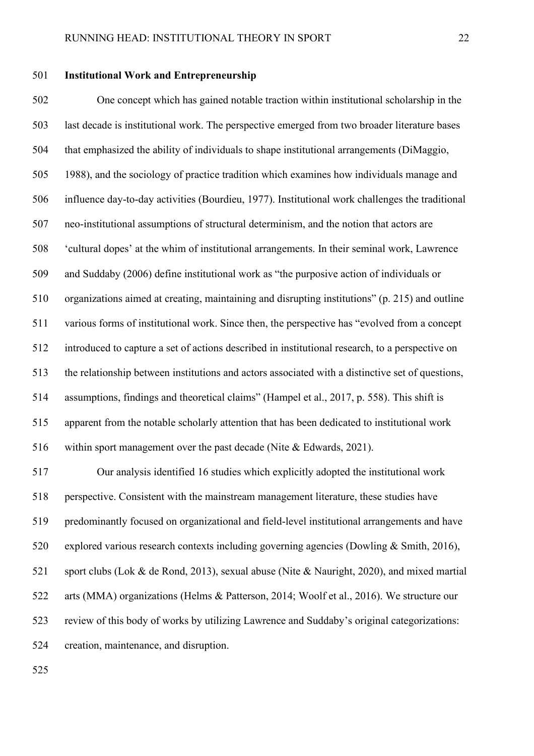## **Institutional Work and Entrepreneurship**

 One concept which has gained notable traction within institutional scholarship in the last decade is institutional work. The perspective emerged from two broader literature bases that emphasized the ability of individuals to shape institutional arrangements (DiMaggio, 1988), and the sociology of practice tradition which examines how individuals manage and influence day-to-day activities (Bourdieu, 1977). Institutional work challenges the traditional neo-institutional assumptions of structural determinism, and the notion that actors are 'cultural dopes' at the whim of institutional arrangements. In their seminal work, Lawrence and Suddaby (2006) define institutional work as "the purposive action of individuals or organizations aimed at creating, maintaining and disrupting institutions" (p. 215) and outline various forms of institutional work. Since then, the perspective has "evolved from a concept introduced to capture a set of actions described in institutional research, to a perspective on the relationship between institutions and actors associated with a distinctive set of questions, assumptions, findings and theoretical claims" (Hampel et al., 2017, p. 558). This shift is apparent from the notable scholarly attention that has been dedicated to institutional work within sport management over the past decade (Nite & Edwards, 2021).

 Our analysis identified 16 studies which explicitly adopted the institutional work perspective. Consistent with the mainstream management literature, these studies have predominantly focused on organizational and field-level institutional arrangements and have explored various research contexts including governing agencies (Dowling & Smith, 2016), sport clubs (Lok & de Rond, 2013), sexual abuse (Nite & Nauright, 2020), and mixed martial arts (MMA) organizations (Helms & Patterson, 2014; Woolf et al., 2016). We structure our review of this body of works by utilizing Lawrence and Suddaby's original categorizations: creation, maintenance, and disruption.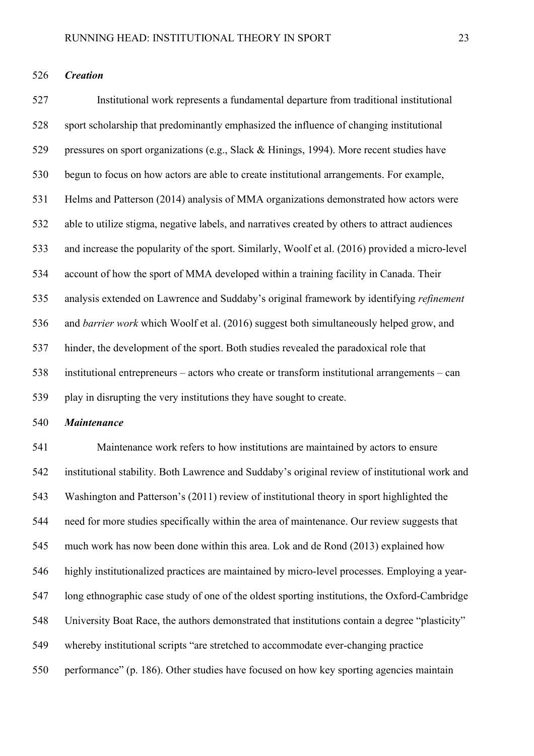*Creation* 

 Institutional work represents a fundamental departure from traditional institutional sport scholarship that predominantly emphasized the influence of changing institutional pressures on sport organizations (e.g., Slack & Hinings, 1994). More recent studies have begun to focus on how actors are able to create institutional arrangements. For example, Helms and Patterson (2014) analysis of MMA organizations demonstrated how actors were able to utilize stigma, negative labels, and narratives created by others to attract audiences and increase the popularity of the sport. Similarly, Woolf et al. (2016) provided a micro-level account of how the sport of MMA developed within a training facility in Canada. Their analysis extended on Lawrence and Suddaby's original framework by identifying *refinement*  and *barrier work* which Woolf et al. (2016) suggest both simultaneously helped grow, and hinder, the development of the sport. Both studies revealed the paradoxical role that institutional entrepreneurs – actors who create or transform institutional arrangements – can play in disrupting the very institutions they have sought to create.

## *Maintenance*

 Maintenance work refers to how institutions are maintained by actors to ensure institutional stability. Both Lawrence and Suddaby's original review of institutional work and Washington and Patterson's (2011) review of institutional theory in sport highlighted the need for more studies specifically within the area of maintenance. Our review suggests that much work has now been done within this area. Lok and de Rond (2013) explained how highly institutionalized practices are maintained by micro-level processes. Employing a year- long ethnographic case study of one of the oldest sporting institutions, the Oxford-Cambridge University Boat Race, the authors demonstrated that institutions contain a degree "plasticity" whereby institutional scripts "are stretched to accommodate ever-changing practice performance" (p. 186). Other studies have focused on how key sporting agencies maintain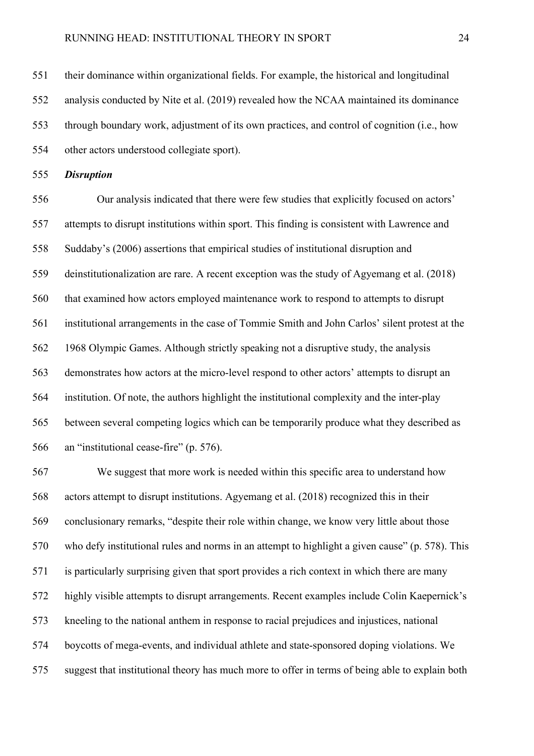their dominance within organizational fields. For example, the historical and longitudinal analysis conducted by Nite et al. (2019) revealed how the NCAA maintained its dominance through boundary work, adjustment of its own practices, and control of cognition (i.e., how other actors understood collegiate sport).

*Disruption* 

 Our analysis indicated that there were few studies that explicitly focused on actors' attempts to disrupt institutions within sport. This finding is consistent with Lawrence and Suddaby's (2006) assertions that empirical studies of institutional disruption and deinstitutionalization are rare. A recent exception was the study of Agyemang et al. (2018) that examined how actors employed maintenance work to respond to attempts to disrupt institutional arrangements in the case of Tommie Smith and John Carlos' silent protest at the 1968 Olympic Games. Although strictly speaking not a disruptive study, the analysis demonstrates how actors at the micro-level respond to other actors' attempts to disrupt an institution. Of note, the authors highlight the institutional complexity and the inter-play between several competing logics which can be temporarily produce what they described as an "institutional cease-fire" (p. 576).

 We suggest that more work is needed within this specific area to understand how actors attempt to disrupt institutions. Agyemang et al. (2018) recognized this in their conclusionary remarks, "despite their role within change, we know very little about those who defy institutional rules and norms in an attempt to highlight a given cause" (p. 578). This is particularly surprising given that sport provides a rich context in which there are many highly visible attempts to disrupt arrangements. Recent examples include Colin Kaepernick's kneeling to the national anthem in response to racial prejudices and injustices, national boycotts of mega-events, and individual athlete and state-sponsored doping violations. We suggest that institutional theory has much more to offer in terms of being able to explain both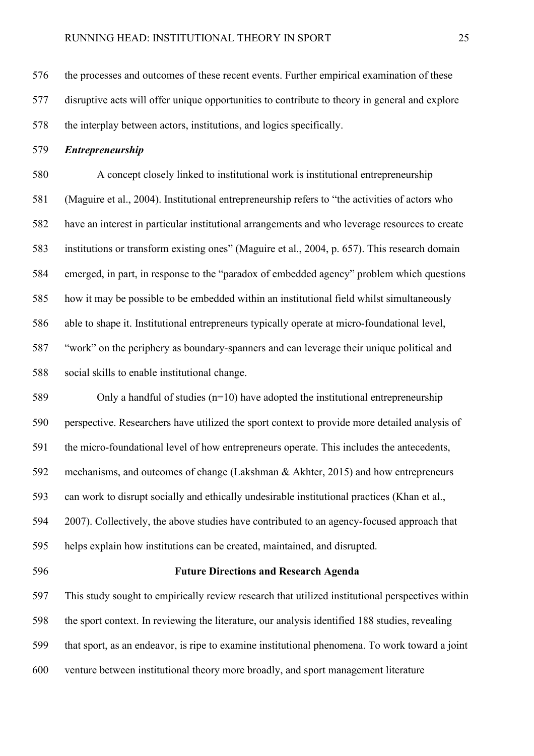the processes and outcomes of these recent events. Further empirical examination of these disruptive acts will offer unique opportunities to contribute to theory in general and explore the interplay between actors, institutions, and logics specifically.

*Entrepreneurship*

 A concept closely linked to institutional work is institutional entrepreneurship (Maguire et al., 2004). Institutional entrepreneurship refers to "the activities of actors who have an interest in particular institutional arrangements and who leverage resources to create institutions or transform existing ones" (Maguire et al., 2004, p. 657). This research domain emerged, in part, in response to the "paradox of embedded agency" problem which questions how it may be possible to be embedded within an institutional field whilst simultaneously able to shape it. Institutional entrepreneurs typically operate at micro-foundational level, "work" on the periphery as boundary-spanners and can leverage their unique political and social skills to enable institutional change.

 Only a handful of studies (n=10) have adopted the institutional entrepreneurship perspective. Researchers have utilized the sport context to provide more detailed analysis of the micro-foundational level of how entrepreneurs operate. This includes the antecedents, mechanisms, and outcomes of change (Lakshman & Akhter, 2015) and how entrepreneurs can work to disrupt socially and ethically undesirable institutional practices (Khan et al., 2007). Collectively, the above studies have contributed to an agency-focused approach that helps explain how institutions can be created, maintained, and disrupted.

## **Future Directions and Research Agenda**

 This study sought to empirically review research that utilized institutional perspectives within the sport context. In reviewing the literature, our analysis identified 188 studies, revealing that sport, as an endeavor, is ripe to examine institutional phenomena. To work toward a joint venture between institutional theory more broadly, and sport management literature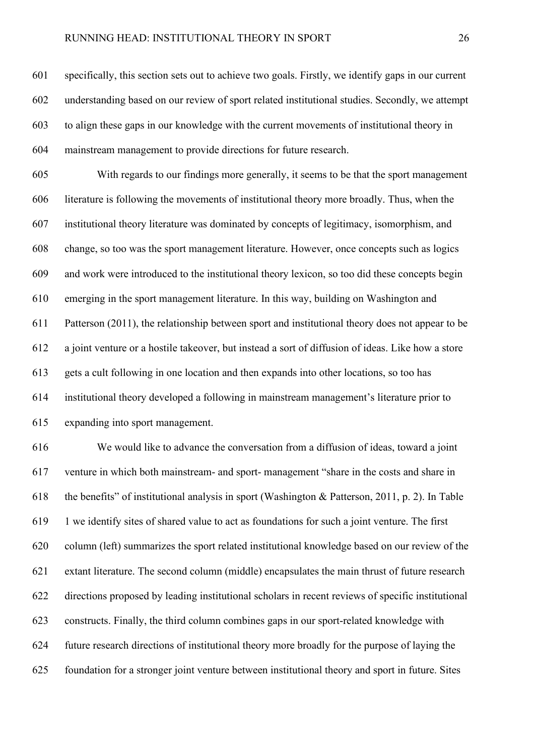#### RUNNING HEAD: INSTITUTIONAL THEORY IN SPORT 26

 specifically, this section sets out to achieve two goals. Firstly, we identify gaps in our current understanding based on our review of sport related institutional studies. Secondly, we attempt to align these gaps in our knowledge with the current movements of institutional theory in mainstream management to provide directions for future research.

 With regards to our findings more generally, it seems to be that the sport management literature is following the movements of institutional theory more broadly. Thus, when the institutional theory literature was dominated by concepts of legitimacy, isomorphism, and change, so too was the sport management literature. However, once concepts such as logics and work were introduced to the institutional theory lexicon, so too did these concepts begin emerging in the sport management literature. In this way, building on Washington and Patterson (2011), the relationship between sport and institutional theory does not appear to be a joint venture or a hostile takeover, but instead a sort of diffusion of ideas. Like how a store gets a cult following in one location and then expands into other locations, so too has institutional theory developed a following in mainstream management's literature prior to expanding into sport management.

 We would like to advance the conversation from a diffusion of ideas, toward a joint venture in which both mainstream- and sport- management "share in the costs and share in the benefits" of institutional analysis in sport (Washington & Patterson, 2011, p. 2). In Table 1 we identify sites of shared value to act as foundations for such a joint venture. The first column (left) summarizes the sport related institutional knowledge based on our review of the extant literature. The second column (middle) encapsulates the main thrust of future research directions proposed by leading institutional scholars in recent reviews of specific institutional constructs. Finally, the third column combines gaps in our sport-related knowledge with future research directions of institutional theory more broadly for the purpose of laying the foundation for a stronger joint venture between institutional theory and sport in future. Sites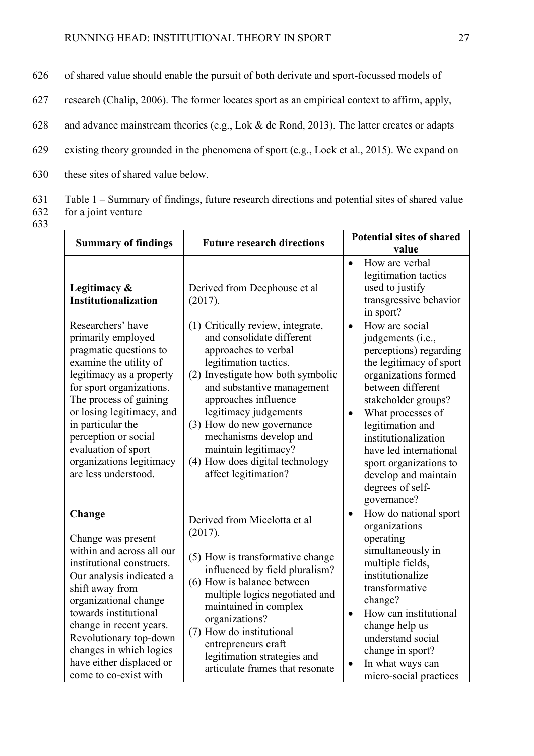- 626 of shared value should enable the pursuit of both derivate and sport-focussed models of
- 627 research (Chalip, 2006). The former locates sport as an empirical context to affirm, apply,
- 628 and advance mainstream theories (e.g., Lok & de Rond, 2013). The latter creates or adapts
- 629 existing theory grounded in the phenomena of sport (e.g., Lock et al., 2015). We expand on
- 630 these sites of shared value below.
- 631 Table 1 Summary of findings, future research directions and potential sites of shared value
- 632 for a joint venture
- 633

| <b>Future research directions</b><br><b>Summary of findings</b>                                                                                                                                                                                                                                                                    | <b>Potential sites of shared</b>                                                                                                                                                                                                                                                                                                                                              |                                                                                                                                                                                                                                                                                                                                                                        |
|------------------------------------------------------------------------------------------------------------------------------------------------------------------------------------------------------------------------------------------------------------------------------------------------------------------------------------|-------------------------------------------------------------------------------------------------------------------------------------------------------------------------------------------------------------------------------------------------------------------------------------------------------------------------------------------------------------------------------|------------------------------------------------------------------------------------------------------------------------------------------------------------------------------------------------------------------------------------------------------------------------------------------------------------------------------------------------------------------------|
|                                                                                                                                                                                                                                                                                                                                    |                                                                                                                                                                                                                                                                                                                                                                               | value                                                                                                                                                                                                                                                                                                                                                                  |
| Legitimacy &<br>Institutionalization                                                                                                                                                                                                                                                                                               | Derived from Deephouse et al<br>(2017).                                                                                                                                                                                                                                                                                                                                       | How are verbal<br>$\bullet$<br>legitimation tactics<br>used to justify<br>transgressive behavior<br>in sport?                                                                                                                                                                                                                                                          |
| Researchers' have<br>primarily employed<br>pragmatic questions to<br>examine the utility of<br>legitimacy as a property<br>for sport organizations.<br>The process of gaining<br>or losing legitimacy, and<br>in particular the<br>perception or social<br>evaluation of sport<br>organizations legitimacy<br>are less understood. | (1) Critically review, integrate,<br>and consolidate different<br>approaches to verbal<br>legitimation tactics.<br>(2) Investigate how both symbolic<br>and substantive management<br>approaches influence<br>legitimacy judgements<br>(3) How do new governance<br>mechanisms develop and<br>maintain legitimacy?<br>(4) How does digital technology<br>affect legitimation? | How are social<br>$\bullet$<br>judgements (i.e.,<br>perceptions) regarding<br>the legitimacy of sport<br>organizations formed<br>between different<br>stakeholder groups?<br>What processes of<br>$\bullet$<br>legitimation and<br>institutionalization<br>have led international<br>sport organizations to<br>develop and maintain<br>degrees of self-<br>governance? |
| Change<br>Change was present<br>within and across all our<br>institutional constructs.<br>Our analysis indicated a<br>shift away from<br>organizational change<br>towards institutional<br>change in recent years.<br>Revolutionary top-down<br>changes in which logics<br>have either displaced or<br>come to co-exist with       | Derived from Micelotta et al<br>(2017).<br>(5) How is transformative change<br>influenced by field pluralism?<br>(6) How is balance between<br>multiple logics negotiated and<br>maintained in complex<br>organizations?<br>(7) How do institutional<br>entrepreneurs craft<br>legitimation strategies and<br>articulate frames that resonate                                 | How do national sport<br>$\bullet$<br>organizations<br>operating<br>simultaneously in<br>multiple fields,<br>institutionalize<br>transformative<br>change?<br>How can institutional<br>$\bullet$<br>change help us<br>understand social<br>change in sport?<br>In what ways can<br>micro-social practices                                                              |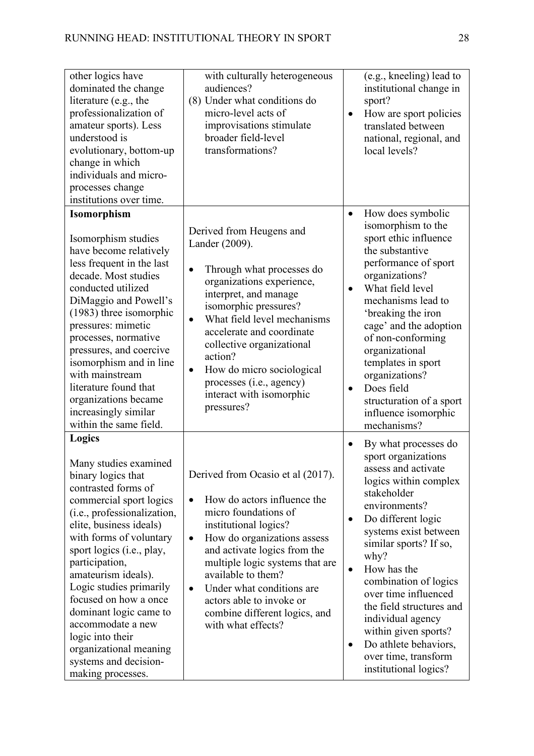| other logics have<br>dominated the change<br>literature (e.g., the<br>professionalization of<br>amateur sports). Less<br>understood is<br>evolutionary, bottom-up<br>change in which<br>individuals and micro-<br>processes change<br>institutions over time.                                                                                                                                                                                                     | with culturally heterogeneous<br>audiences?<br>(8) Under what conditions do<br>micro-level acts of<br>improvisations stimulate<br>broader field-level<br>transformations?                                                                                                                                                                                                                        | $\bullet$                | (e.g., kneeling) lead to<br>institutional change in<br>sport?<br>How are sport policies<br>translated between<br>national, regional, and<br>local levels?                                                                                                                                                                                                                                                                       |
|-------------------------------------------------------------------------------------------------------------------------------------------------------------------------------------------------------------------------------------------------------------------------------------------------------------------------------------------------------------------------------------------------------------------------------------------------------------------|--------------------------------------------------------------------------------------------------------------------------------------------------------------------------------------------------------------------------------------------------------------------------------------------------------------------------------------------------------------------------------------------------|--------------------------|---------------------------------------------------------------------------------------------------------------------------------------------------------------------------------------------------------------------------------------------------------------------------------------------------------------------------------------------------------------------------------------------------------------------------------|
| <b>Isomorphism</b><br>Isomorphism studies<br>have become relatively<br>less frequent in the last<br>decade. Most studies<br>conducted utilized<br>DiMaggio and Powell's<br>(1983) three isomorphic<br>pressures: mimetic<br>processes, normative<br>pressures, and coercive<br>isomorphism and in line<br>with mainstream<br>literature found that<br>organizations became<br>increasingly similar<br>within the same field.                                      | Derived from Heugens and<br>Lander (2009).<br>Through what processes do<br>$\bullet$<br>organizations experience,<br>interpret, and manage<br>isomorphic pressures?<br>What field level mechanisms<br>accelerate and coordinate<br>collective organizational<br>action?<br>How do micro sociological<br>$\bullet$<br>processes (i.e., agency)<br>interact with isomorphic<br>pressures?          | $\bullet$<br>$\bullet$   | How does symbolic<br>isomorphism to the<br>sport ethic influence<br>the substantive<br>performance of sport<br>organizations?<br>What field level<br>mechanisms lead to<br>'breaking the iron<br>cage' and the adoption<br>of non-conforming<br>organizational<br>templates in sport<br>organizations?<br>Does field<br>structuration of a sport<br>influence isomorphic<br>mechanisms?                                         |
| Logics<br>Many studies examined<br>binary logics that<br>contrasted forms of<br>commercial sport logics<br>(i.e., professionalization,<br>elite, business ideals)<br>with forms of voluntary<br>sport logics (i.e., play,<br>participation,<br>amateurism ideals).<br>Logic studies primarily<br>focused on how a once<br>dominant logic came to<br>accommodate a new<br>logic into their<br>organizational meaning<br>systems and decision-<br>making processes. | Derived from Ocasio et al (2017).<br>How do actors influence the<br>$\bullet$<br>micro foundations of<br>institutional logics?<br>How do organizations assess<br>$\bullet$<br>and activate logics from the<br>multiple logic systems that are<br>available to them?<br>Under what conditions are<br>$\bullet$<br>actors able to invoke or<br>combine different logics, and<br>with what effects? | ٠<br>٠<br>$\bullet$<br>٠ | By what processes do<br>sport organizations<br>assess and activate<br>logics within complex<br>stakeholder<br>environments?<br>Do different logic<br>systems exist between<br>similar sports? If so,<br>why?<br>How has the<br>combination of logics<br>over time influenced<br>the field structures and<br>individual agency<br>within given sports?<br>Do athlete behaviors,<br>over time, transform<br>institutional logics? |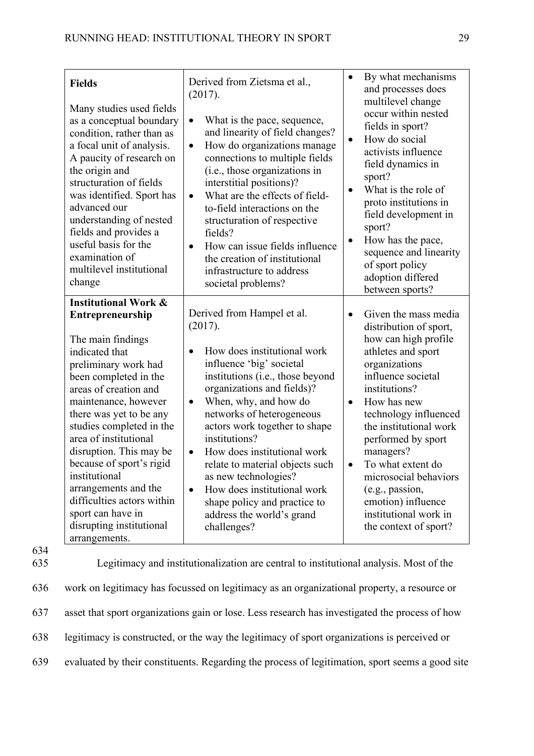| <b>Fields</b><br>Many studies used fields<br>as a conceptual boundary<br>condition, rather than as<br>a focal unit of analysis.<br>A paucity of research on<br>the origin and<br>structuration of fields<br>was identified. Sport has<br>advanced our<br>understanding of nested<br>fields and provides a<br>useful basis for the<br>examination of<br>multilevel institutional<br>change                                                                                    | Derived from Zietsma et al.,<br>(2017).<br>What is the pace, sequence,<br>$\bullet$<br>and linearity of field changes?<br>How do organizations manage<br>$\bullet$<br>connections to multiple fields<br>(i.e., those organizations in<br>interstitial positions)?<br>What are the effects of field-<br>$\bullet$<br>to-field interactions on the<br>structuration of respective<br>fields?<br>How can issue fields influence<br>$\bullet$<br>the creation of institutional<br>infrastructure to address<br>societal problems? | By what mechanisms<br>$\bullet$<br>and processes does<br>multilevel change<br>occur within nested<br>fields in sport?<br>How do social<br>$\bullet$<br>activists influence<br>field dynamics in<br>sport?<br>What is the role of<br>$\bullet$<br>proto institutions in<br>field development in<br>sport?<br>How has the pace,<br>$\bullet$<br>sequence and linearity<br>of sport policy<br>adoption differed<br>between sports? |
|------------------------------------------------------------------------------------------------------------------------------------------------------------------------------------------------------------------------------------------------------------------------------------------------------------------------------------------------------------------------------------------------------------------------------------------------------------------------------|-------------------------------------------------------------------------------------------------------------------------------------------------------------------------------------------------------------------------------------------------------------------------------------------------------------------------------------------------------------------------------------------------------------------------------------------------------------------------------------------------------------------------------|---------------------------------------------------------------------------------------------------------------------------------------------------------------------------------------------------------------------------------------------------------------------------------------------------------------------------------------------------------------------------------------------------------------------------------|
| <b>Institutional Work &amp;</b><br>Entrepreneurship<br>The main findings<br>indicated that<br>preliminary work had<br>been completed in the<br>areas of creation and<br>maintenance, however<br>there was yet to be any<br>studies completed in the<br>area of institutional<br>disruption. This may be<br>because of sport's rigid<br>institutional<br>arrangements and the<br>difficulties actors within<br>sport can have in<br>disrupting institutional<br>arrangements. | Derived from Hampel et al.<br>(2017).<br>How does institutional work<br>influence 'big' societal<br>institutions (i.e., those beyond<br>organizations and fields)?<br>When, why, and how do<br>٠<br>networks of heterogeneous<br>actors work together to shape<br>institutions?<br>How does institutional work<br>relate to material objects such<br>as new technologies?<br>How does institutional work<br>$\bullet$<br>shape policy and practice to<br>address the world's grand<br>challenges?                             | Given the mass media<br>$\bullet$<br>distribution of sport,<br>how can high profile<br>athletes and sport<br>organizations<br>influence societal<br>institutions?<br>How has new<br>$\bullet$<br>technology influenced<br>the institutional work<br>performed by sport<br>managers?<br>To what extent do<br>microsocial behaviors<br>(e.g., passion,<br>emotion) influence<br>institutional work in<br>the context of sport?    |

634

 Legitimacy and institutionalization are central to institutional analysis. Most of the work on legitimacy has focussed on legitimacy as an organizational property, a resource or asset that sport organizations gain or lose. Less research has investigated the process of how legitimacy is constructed, or the way the legitimacy of sport organizations is perceived or evaluated by their constituents. Regarding the process of legitimation, sport seems a good site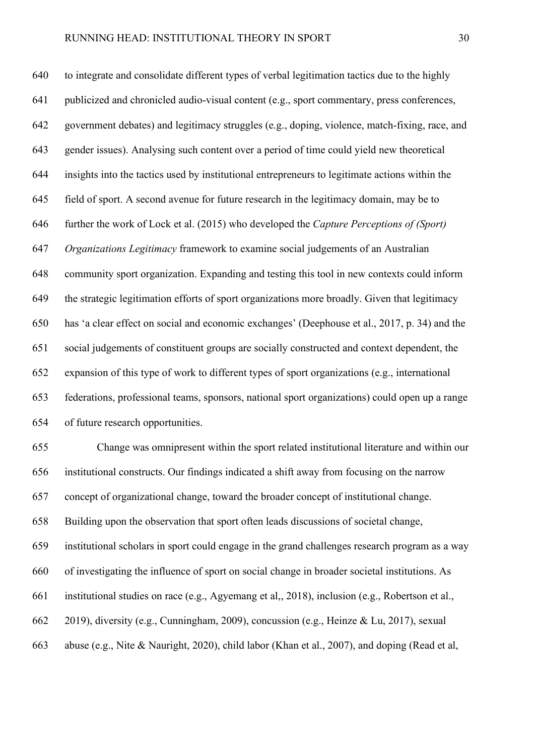to integrate and consolidate different types of verbal legitimation tactics due to the highly publicized and chronicled audio-visual content (e.g., sport commentary, press conferences, government debates) and legitimacy struggles (e.g., doping, violence, match-fixing, race, and gender issues). Analysing such content over a period of time could yield new theoretical insights into the tactics used by institutional entrepreneurs to legitimate actions within the field of sport. A second avenue for future research in the legitimacy domain, may be to further the work of Lock et al. (2015) who developed the *Capture Perceptions of (Sport) Organizations Legitimacy* framework to examine social judgements of an Australian community sport organization. Expanding and testing this tool in new contexts could inform the strategic legitimation efforts of sport organizations more broadly. Given that legitimacy has 'a clear effect on social and economic exchanges' (Deephouse et al., 2017, p. 34) and the social judgements of constituent groups are socially constructed and context dependent, the expansion of this type of work to different types of sport organizations (e.g., international federations, professional teams, sponsors, national sport organizations) could open up a range of future research opportunities.

 Change was omnipresent within the sport related institutional literature and within our institutional constructs. Our findings indicated a shift away from focusing on the narrow concept of organizational change, toward the broader concept of institutional change. Building upon the observation that sport often leads discussions of societal change, institutional scholars in sport could engage in the grand challenges research program as a way of investigating the influence of sport on social change in broader societal institutions. As institutional studies on race (e.g., Agyemang et al,, 2018), inclusion (e.g., Robertson et al., 2019), diversity (e.g., Cunningham, 2009), concussion (e.g., Heinze & Lu, 2017), sexual abuse (e.g., Nite & Nauright, 2020), child labor (Khan et al., 2007), and doping (Read et al,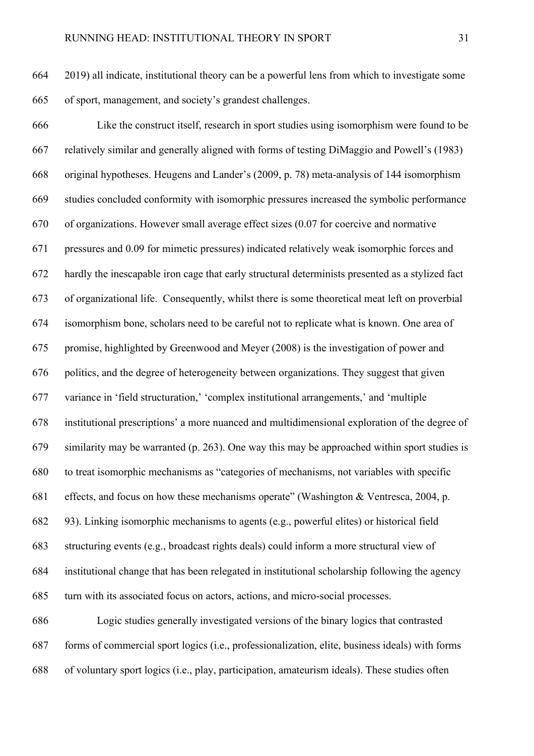2019) all indicate, institutional theory can be a powerful lens from which to investigate some of sport, management, and society's grandest challenges.

 Like the construct itself, research in sport studies using isomorphism were found to be relatively similar and generally aligned with forms of testing DiMaggio and Powell's (1983) original hypotheses. Heugens and Lander's (2009, p. 78) meta-analysis of 144 isomorphism studies concluded conformity with isomorphic pressures increased the symbolic performance of organizations. However small average effect sizes (0.07 for coercive and normative pressures and 0.09 for mimetic pressures) indicated relatively weak isomorphic forces and hardly the inescapable iron cage that early structural determinists presented as a stylized fact of organizational life. Consequently, whilst there is some theoretical meat left on proverbial isomorphism bone, scholars need to be careful not to replicate what is known. One area of promise, highlighted by Greenwood and Meyer (2008) is the investigation of power and politics, and the degree of heterogeneity between organizations. They suggest that given variance in 'field structuration,' 'complex institutional arrangements,' and 'multiple institutional prescriptions' a more nuanced and multidimensional exploration of the degree of similarity may be warranted (p. 263). One way this may be approached within sport studies is to treat isomorphic mechanisms as "categories of mechanisms, not variables with specific effects, and focus on how these mechanisms operate" (Washington & Ventresca, 2004, p. 93). Linking isomorphic mechanisms to agents (e.g., powerful elites) or historical field structuring events (e.g., broadcast rights deals) could inform a more structural view of institutional change that has been relegated in institutional scholarship following the agency turn with its associated focus on actors, actions, and micro-social processes. Logic studies generally investigated versions of the binary logics that contrasted

 forms of commercial sport logics (i.e., professionalization, elite, business ideals) with forms of voluntary sport logics (i.e., play, participation, amateurism ideals). These studies often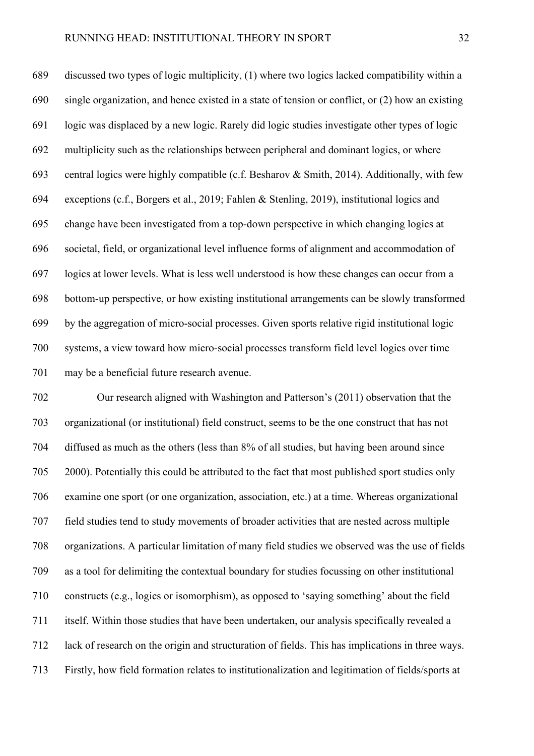discussed two types of logic multiplicity, (1) where two logics lacked compatibility within a single organization, and hence existed in a state of tension or conflict, or (2) how an existing logic was displaced by a new logic. Rarely did logic studies investigate other types of logic multiplicity such as the relationships between peripheral and dominant logics, or where central logics were highly compatible (c.f. Besharov & Smith, 2014). Additionally, with few exceptions (c.f., Borgers et al., 2019; Fahlen & Stenling, 2019), institutional logics and change have been investigated from a top-down perspective in which changing logics at societal, field, or organizational level influence forms of alignment and accommodation of logics at lower levels. What is less well understood is how these changes can occur from a bottom-up perspective, or how existing institutional arrangements can be slowly transformed by the aggregation of micro-social processes. Given sports relative rigid institutional logic systems, a view toward how micro-social processes transform field level logics over time may be a beneficial future research avenue.

 Our research aligned with Washington and Patterson's (2011) observation that the organizational (or institutional) field construct, seems to be the one construct that has not diffused as much as the others (less than 8% of all studies, but having been around since 2000). Potentially this could be attributed to the fact that most published sport studies only examine one sport (or one organization, association, etc.) at a time. Whereas organizational field studies tend to study movements of broader activities that are nested across multiple organizations. A particular limitation of many field studies we observed was the use of fields as a tool for delimiting the contextual boundary for studies focussing on other institutional constructs (e.g., logics or isomorphism), as opposed to 'saying something' about the field itself. Within those studies that have been undertaken, our analysis specifically revealed a lack of research on the origin and structuration of fields. This has implications in three ways. Firstly, how field formation relates to institutionalization and legitimation of fields/sports at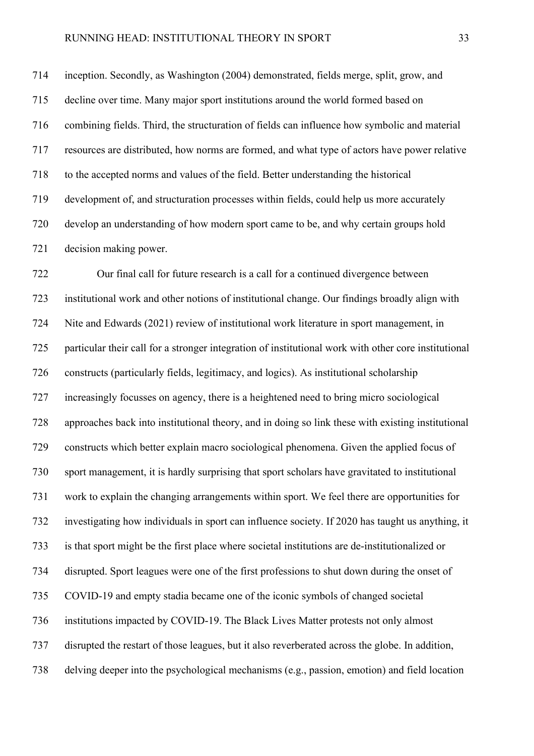inception. Secondly, as Washington (2004) demonstrated, fields merge, split, grow, and decline over time. Many major sport institutions around the world formed based on combining fields. Third, the structuration of fields can influence how symbolic and material resources are distributed, how norms are formed, and what type of actors have power relative to the accepted norms and values of the field. Better understanding the historical development of, and structuration processes within fields, could help us more accurately develop an understanding of how modern sport came to be, and why certain groups hold decision making power.

 Our final call for future research is a call for a continued divergence between institutional work and other notions of institutional change. Our findings broadly align with Nite and Edwards (2021) review of institutional work literature in sport management, in particular their call for a stronger integration of institutional work with other core institutional constructs (particularly fields, legitimacy, and logics). As institutional scholarship increasingly focusses on agency, there is a heightened need to bring micro sociological approaches back into institutional theory, and in doing so link these with existing institutional constructs which better explain macro sociological phenomena. Given the applied focus of sport management, it is hardly surprising that sport scholars have gravitated to institutional work to explain the changing arrangements within sport. We feel there are opportunities for investigating how individuals in sport can influence society. If 2020 has taught us anything, it is that sport might be the first place where societal institutions are de-institutionalized or disrupted. Sport leagues were one of the first professions to shut down during the onset of COVID-19 and empty stadia became one of the iconic symbols of changed societal institutions impacted by COVID-19. The Black Lives Matter protests not only almost disrupted the restart of those leagues, but it also reverberated across the globe. In addition, delving deeper into the psychological mechanisms (e.g., passion, emotion) and field location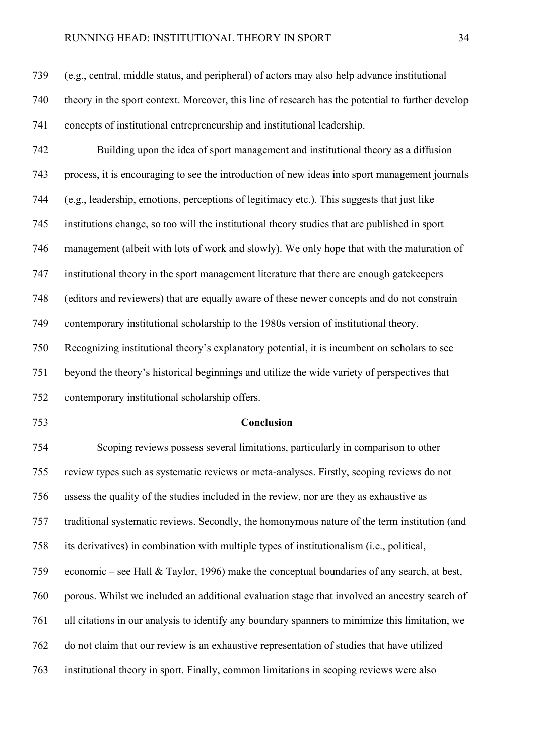## RUNNING HEAD: INSTITUTIONAL THEORY IN SPORT 34

 theory in the sport context. Moreover, this line of research has the potential to further develop concepts of institutional entrepreneurship and institutional leadership.

 Building upon the idea of sport management and institutional theory as a diffusion process, it is encouraging to see the introduction of new ideas into sport management journals (e.g., leadership, emotions, perceptions of legitimacy etc.). This suggests that just like institutions change, so too will the institutional theory studies that are published in sport management (albeit with lots of work and slowly). We only hope that with the maturation of institutional theory in the sport management literature that there are enough gatekeepers (editors and reviewers) that are equally aware of these newer concepts and do not constrain contemporary institutional scholarship to the 1980s version of institutional theory. Recognizing institutional theory's explanatory potential, it is incumbent on scholars to see beyond the theory's historical beginnings and utilize the wide variety of perspectives that contemporary institutional scholarship offers.

## **Conclusion**

 Scoping reviews possess several limitations, particularly in comparison to other review types such as systematic reviews or meta-analyses. Firstly, scoping reviews do not assess the quality of the studies included in the review, nor are they as exhaustive as traditional systematic reviews. Secondly, the homonymous nature of the term institution (and its derivatives) in combination with multiple types of institutionalism (i.e., political, economic – see Hall & Taylor, 1996) make the conceptual boundaries of any search, at best, porous. Whilst we included an additional evaluation stage that involved an ancestry search of all citations in our analysis to identify any boundary spanners to minimize this limitation, we do not claim that our review is an exhaustive representation of studies that have utilized institutional theory in sport. Finally, common limitations in scoping reviews were also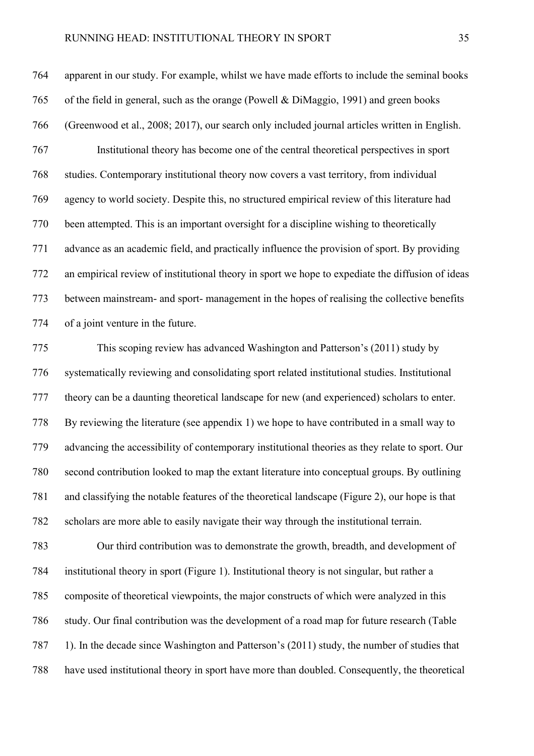## RUNNING HEAD: INSTITUTIONAL THEORY IN SPORT 35

 apparent in our study. For example, whilst we have made efforts to include the seminal books of the field in general, such as the orange (Powell & DiMaggio, 1991) and green books (Greenwood et al., 2008; 2017), our search only included journal articles written in English. Institutional theory has become one of the central theoretical perspectives in sport studies. Contemporary institutional theory now covers a vast territory, from individual agency to world society. Despite this, no structured empirical review of this literature had been attempted. This is an important oversight for a discipline wishing to theoretically advance as an academic field, and practically influence the provision of sport. By providing an empirical review of institutional theory in sport we hope to expediate the diffusion of ideas between mainstream- and sport- management in the hopes of realising the collective benefits of a joint venture in the future.

 This scoping review has advanced Washington and Patterson's (2011) study by systematically reviewing and consolidating sport related institutional studies. Institutional theory can be a daunting theoretical landscape for new (and experienced) scholars to enter. By reviewing the literature (see appendix 1) we hope to have contributed in a small way to advancing the accessibility of contemporary institutional theories as they relate to sport. Our second contribution looked to map the extant literature into conceptual groups. By outlining and classifying the notable features of the theoretical landscape (Figure 2), our hope is that scholars are more able to easily navigate their way through the institutional terrain.

 Our third contribution was to demonstrate the growth, breadth, and development of institutional theory in sport (Figure 1). Institutional theory is not singular, but rather a composite of theoretical viewpoints, the major constructs of which were analyzed in this study. Our final contribution was the development of a road map for future research (Table 1). In the decade since Washington and Patterson's (2011) study, the number of studies that have used institutional theory in sport have more than doubled. Consequently, the theoretical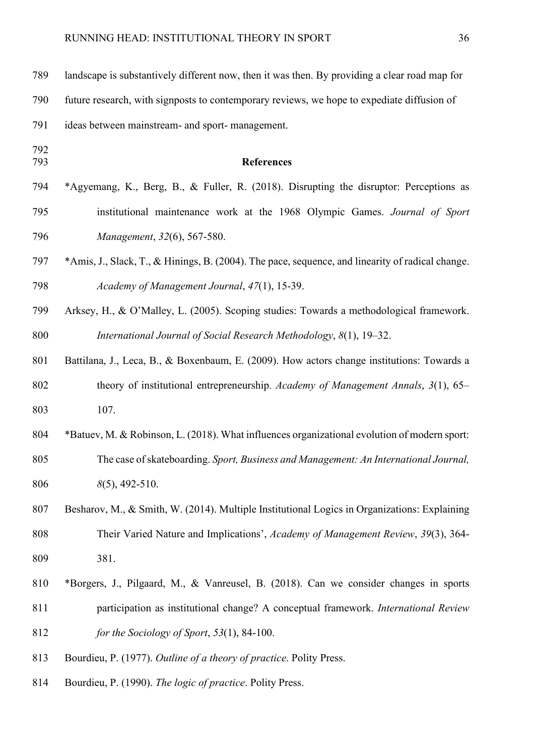| 789        | landscape is substantively different now, then it was then. By providing a clear road map for    |
|------------|--------------------------------------------------------------------------------------------------|
| 790        | future research, with signposts to contemporary reviews, we hope to expediate diffusion of       |
| 791        | ideas between mainstream- and sport- management.                                                 |
| 792<br>793 | <b>References</b>                                                                                |
| 794        | *Agyemang, K., Berg, B., & Fuller, R. (2018). Disrupting the disruptor: Perceptions as           |
| 795        | institutional maintenance work at the 1968 Olympic Games. Journal of Sport                       |
| 796        | Management, 32(6), 567-580.                                                                      |
| 797        | *Amis, J., Slack, T., & Hinings, B. (2004). The pace, sequence, and linearity of radical change. |
| 798        | Academy of Management Journal, 47(1), 15-39.                                                     |
| 799        | Arksey, H., & O'Malley, L. (2005). Scoping studies: Towards a methodological framework.          |
| 800        | International Journal of Social Research Methodology, 8(1), 19–32.                               |
| 801        | Battilana, J., Leca, B., & Boxenbaum, E. (2009). How actors change institutions: Towards a       |
| 802        | theory of institutional entrepreneurship. Academy of Management Annals, 3(1), 65-                |
| 803        | 107.                                                                                             |
| 804        | *Batuev, M. & Robinson, L. (2018). What influences organizational evolution of modern sport:     |
| 805        | The case of skateboarding. Sport, Business and Management: An International Journal,             |
| 806        | $8(5)$ , 492-510.                                                                                |
| 807        | Besharov, M., & Smith, W. (2014). Multiple Institutional Logics in Organizations: Explaining     |
| 808        | Their Varied Nature and Implications', Academy of Management Review, 39(3), 364-                 |
| 809        | 381.                                                                                             |
| 810        | *Borgers, J., Pilgaard, M., & Vanreusel, B. (2018). Can we consider changes in sports            |
| 811        | participation as institutional change? A conceptual framework. International Review              |
| 812        | for the Sociology of Sport, 53(1), 84-100.                                                       |
| 813        | Bourdieu, P. (1977). Outline of a theory of practice. Polity Press.                              |
| 814        | Bourdieu, P. (1990). The logic of practice. Polity Press.                                        |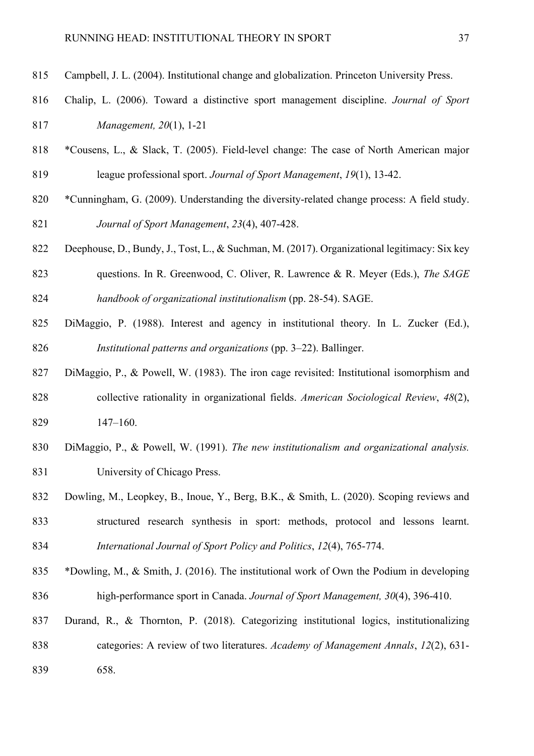- Campbell, J. L. (2004). Institutional change and globalization. Princeton University Press.
- Chalip, L. (2006). Toward a distinctive sport management discipline. *Journal of Sport Management, 20*(1), 1-21
- \*Cousens, L., & Slack, T. (2005). Field-level change: The case of North American major league professional sport. *Journal of Sport Management*, *19*(1), 13-42.
- \*Cunningham, G. (2009). Understanding the diversity-related change process: A field study. *Journal of Sport Management*, *23*(4), 407-428.
- Deephouse, D., Bundy, J., Tost, L., & Suchman, M. (2017). Organizational legitimacy: Six key questions. In R. Greenwood, C. Oliver, R. Lawrence & R. Meyer (Eds.), *The SAGE handbook of organizational institutionalism* (pp. 28-54). SAGE.
- DiMaggio, P. (1988). Interest and agency in institutional theory. In L. Zucker (Ed.), *Institutional patterns and organizations* (pp. 3–22). Ballinger.
- DiMaggio, P., & Powell, W. (1983). The iron cage revisited: Institutional isomorphism and collective rationality in organizational fields. *American Sociological Review*, *48*(2), 147–160.
- DiMaggio, P., & Powell, W. (1991). *The new institutionalism and organizational analysis.* University of Chicago Press.
- Dowling, M., Leopkey, B., Inoue, Y., Berg, B.K., & Smith, L. (2020). Scoping reviews and structured research synthesis in sport: methods, protocol and lessons learnt. *International Journal of Sport Policy and Politics*, *12*(4), 765-774.
- \*Dowling, M., & Smith, J. (2016). The institutional work of Own the Podium in developing high-performance sport in Canada. *Journal of Sport Management, 30*(4), 396-410.
- Durand, R., & Thornton, P. (2018). Categorizing institutional logics, institutionalizing categories: A review of two literatures. *Academy of Management Annals*, *12*(2), 631- 658.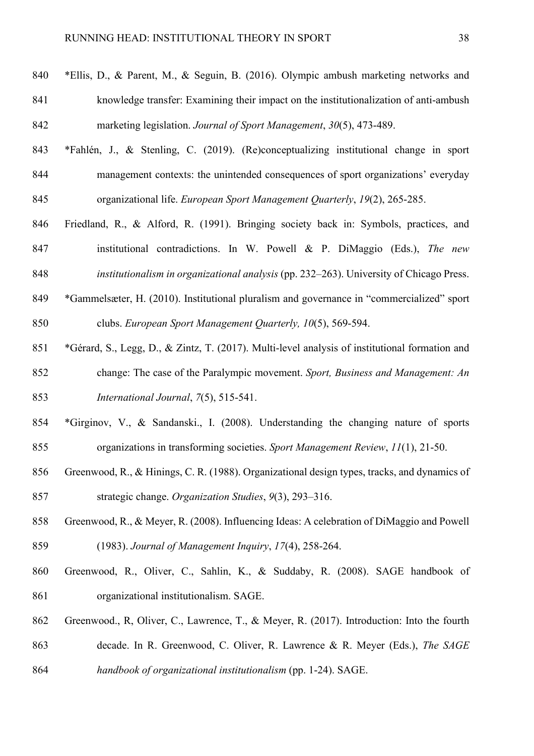- \*Ellis, D., & Parent, M., & Seguin, B. (2016). Olympic ambush marketing networks and knowledge transfer: Examining their impact on the institutionalization of anti-ambush marketing legislation. *Journal of Sport Management*, *30*(5), 473-489.
- \*Fahlén, J., & Stenling, C. (2019). (Re)conceptualizing institutional change in sport management contexts: the unintended consequences of sport organizations' everyday organizational life. *European Sport Management Quarterly*, *19*(2), 265-285.
- Friedland, R., & Alford, R. (1991). Bringing society back in: Symbols, practices, and institutional contradictions. In W. Powell & P. DiMaggio (Eds.), *The new*
- *institutionalism in organizational analysis* (pp. 232–263). University of Chicago Press.
- \*Gammelsæter, H. (2010). Institutional pluralism and governance in "commercialized" sport clubs. *European Sport Management Quarterly, 10*(5), 569-594.
- \*Gérard, S., Legg, D., & Zintz, T. (2017). Multi-level analysis of institutional formation and change: The case of the Paralympic movement. *Sport, Business and Management: An International Journal*, *7*(5), 515-541.
- \*Girginov, V., & Sandanski., I. (2008). Understanding the changing nature of sports organizations in transforming societies. *Sport Management Review*, *11*(1), 21-50.
- Greenwood, R., & Hinings, C. R. (1988). Organizational design types, tracks, and dynamics of strategic change. *Organization Studies*, *9*(3), 293–316.
- Greenwood, R., & Meyer, R. (2008). Influencing Ideas: A celebration of DiMaggio and Powell (1983). *Journal of Management Inquiry*, *17*(4), 258-264.
- Greenwood, R., Oliver, C., Sahlin, K., & Suddaby, R. (2008). SAGE handbook of organizational institutionalism. SAGE.
- Greenwood., R, Oliver, C., Lawrence, T., & Meyer, R. (2017). Introduction: Into the fourth decade. In R. Greenwood, C. Oliver, R. Lawrence & R. Meyer (Eds.), *The SAGE handbook of organizational institutionalism* (pp. 1-24). SAGE.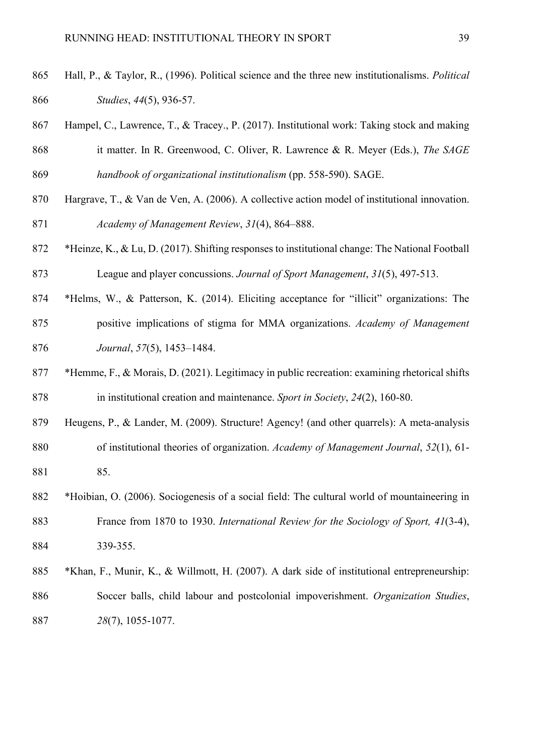- Hall, P., & Taylor, R., (1996). Political science and the three new institutionalisms. *Political Studies*, *44*(5), 936-57.
- Hampel, C., Lawrence, T., & Tracey., P. (2017). Institutional work: Taking stock and making it matter. In R. Greenwood, C. Oliver, R. Lawrence & R. Meyer (Eds.), *The SAGE handbook of organizational institutionalism* (pp. 558-590). SAGE.
- Hargrave, T., & Van de Ven, A. (2006). A collective action model of institutional innovation. *Academy of Management Review*, *31*(4), 864–888.
- \*Heinze, K., & Lu, D. (2017). Shifting responses to institutional change: The National Football League and player concussions. *Journal of Sport Management*, *31*(5), 497-513.
- \*Helms, W., & Patterson, K. (2014). Eliciting acceptance for "illicit" organizations: The positive implications of stigma for MMA organizations. *Academy of Management Journal*, *57*(5), 1453–1484.
- \*Hemme, F., & Morais, D. (2021). Legitimacy in public recreation: examining rhetorical shifts in institutional creation and maintenance. *Sport in Society*, *24*(2), 160-80.
- Heugens, P., & Lander, M. (2009). Structure! Agency! (and other quarrels): A meta-analysis of institutional theories of organization. *Academy of Management Journal*, *52*(1), 61- 85.
- \*Hoibian, O. (2006). Sociogenesis of a social field: The cultural world of mountaineering in France from 1870 to 1930. *International Review for the Sociology of Sport, 41*(3-4), 339-355.
- \*Khan, F., Munir, K., & Willmott, H. (2007). A dark side of institutional entrepreneurship: Soccer balls, child labour and postcolonial impoverishment. *Organization Studies*, *28*(7), 1055-1077.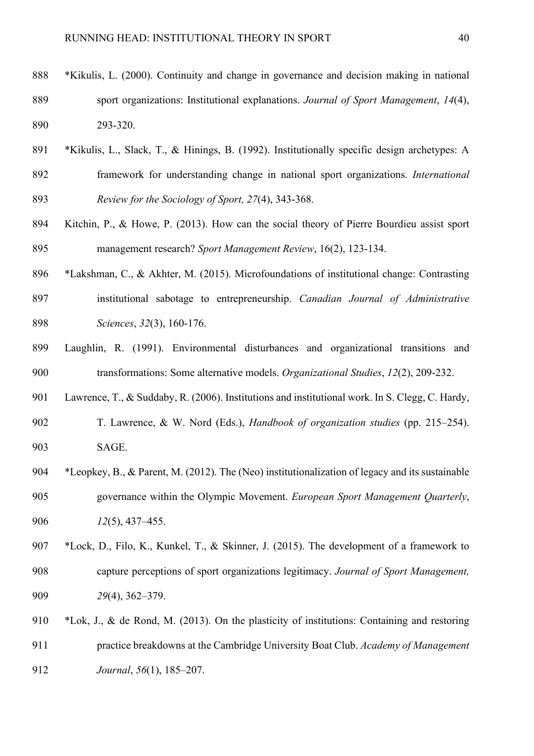- \*Kikulis, L. (2000). Continuity and change in governance and decision making in national sport organizations: Institutional explanations. *Journal of Sport Management*, *14*(4), 293-320.
- \*Kikulis, L., Slack, T., & Hinings, B. (1992). Institutionally specific design archetypes: A framework for understanding change in national sport organizations. *International Review for the Sociology of Sport, 27*(4), 343-368.
- Kitchin, P., & Howe, P. (2013). How can the social theory of Pierre Bourdieu assist sport management research? *Sport Management Review*, 16(2), 123-134.
- \*Lakshman, C., & Akhter, M. (2015). Microfoundations of institutional change: Contrasting institutional sabotage to entrepreneurship. *Canadian Journal of Administrative Sciences*, *32*(3), 160-176.
- Laughlin, R. (1991). Environmental disturbances and organizational transitions and transformations: Some alternative models. *Organizational Studies*, *12*(2), 209-232.
- Lawrence, T., & Suddaby, R. (2006). Institutions and institutional work. In S. Clegg, C. Hardy,
- T. Lawrence, & W. Nord (Eds.), *Handbook of organization studies* (pp. 215–254). SAGE.
- \*Leopkey, B., & Parent, M. (2012). The (Neo) institutionalization of legacy and its sustainable governance within the Olympic Movement. *European Sport Management Quarterly*, *12*(5), 437–455.
- \*Lock, D., Filo, K., Kunkel, T., & Skinner, J. (2015). The development of a framework to capture perceptions of sport organizations legitimacy. *Journal of Sport Management, 29*(4), 362–379.
- \*Lok, J., & de Rond, M. (2013). On the plasticity of institutions: Containing and restoring practice breakdowns at the Cambridge University Boat Club. *Academy of Management Journal*, *56*(1), 185–207.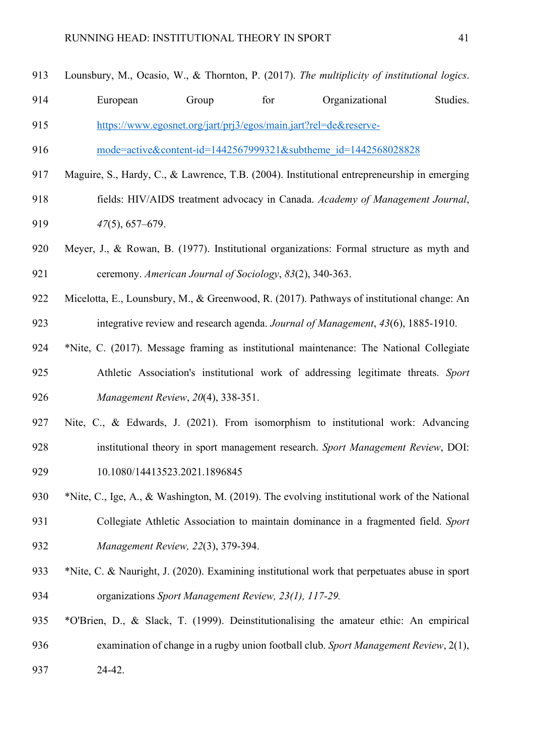| 913 | Lounsbury, M., Ocasio, W., & Thornton, P. (2017). The multiplicity of institutional logics.   |
|-----|-----------------------------------------------------------------------------------------------|
| 914 | Studies.<br>for<br>Organizational<br>European<br>Group                                        |
| 915 | https://www.egosnet.org/jart/prj3/egos/main.jart?rel=de&reserve-                              |
| 916 | mode=active&content-id=1442567999321&subtheme id=1442568028828                                |
| 917 | Maguire, S., Hardy, C., & Lawrence, T.B. (2004). Institutional entrepreneurship in emerging   |
| 918 | fields: HIV/AIDS treatment advocacy in Canada. Academy of Management Journal,                 |
| 919 | $47(5)$ , 657–679.                                                                            |
| 920 | Meyer, J., & Rowan, B. (1977). Institutional organizations: Formal structure as myth and      |
| 921 | ceremony. American Journal of Sociology, 83(2), 340-363.                                      |
| 922 | Micelotta, E., Lounsbury, M., & Greenwood, R. (2017). Pathways of institutional change: An    |
| 923 | integrative review and research agenda. Journal of Management, 43(6), 1885-1910.              |
| 924 | *Nite, C. (2017). Message framing as institutional maintenance: The National Collegiate       |
| 925 | Athletic Association's institutional work of addressing legitimate threats. Sport             |
| 926 | Management Review, 20(4), 338-351.                                                            |
| 927 | Nite, C., & Edwards, J. (2021). From isomorphism to institutional work: Advancing             |
| 928 | institutional theory in sport management research. Sport Management Review, DOI:              |
| 929 | 10.1080/14413523.2021.1896845                                                                 |
| 930 | *Nite, C., Ige, A., & Washington, M. (2019). The evolving institutional work of the National  |
| 931 | Collegiate Athletic Association to maintain dominance in a fragmented field. Sport            |
| 932 | Management Review, 22(3), 379-394.                                                            |
| 933 | *Nite, C. & Nauright, J. (2020). Examining institutional work that perpetuates abuse in sport |
| 934 | organizations Sport Management Review, 23(1), 117-29.                                         |

 \*O'Brien, D., & Slack, T. (1999). Deinstitutionalising the amateur ethic: An empirical examination of change in a rugby union football club. *Sport Management Review*, 2(1), 24-42.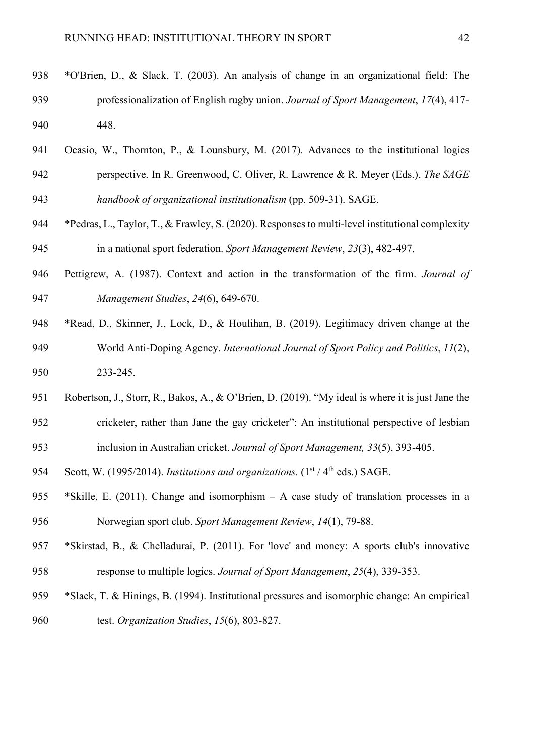- Ocasio, W., Thornton, P., & Lounsbury, M. (2017). Advances to the institutional logics perspective. In R. Greenwood, C. Oliver, R. Lawrence & R. Meyer (Eds.), *The SAGE handbook of organizational institutionalism* (pp. 509-31). SAGE.
- \*Pedras, L., Taylor, T., & Frawley, S. (2020). Responses to multi-level institutional complexity in a national sport federation. *Sport Management Review*, *23*(3), 482-497.
- Pettigrew, A. (1987). Context and action in the transformation of the firm. *Journal of Management Studies*, *24*(6), 649-670.
- \*Read, D., Skinner, J., Lock, D., & Houlihan, B. (2019). Legitimacy driven change at the World Anti-Doping Agency. *International Journal of Sport Policy and Politics*, *11*(2), 233-245.
- Robertson, J., Storr, R., Bakos, A., & O'Brien, D. (2019). "My ideal is where it is just Jane the cricketer, rather than Jane the gay cricketer": An institutional perspective of lesbian inclusion in Australian cricket. *Journal of Sport Management, 33*(5), 393-405.
- 954 Scott, W. (1995/2014). *Institutions and organizations*. (1<sup>st</sup> / 4<sup>th</sup> eds.) SAGE.
- \*Skille, E. (2011). Change and isomorphism A case study of translation processes in a Norwegian sport club. *Sport Management Review*, *14*(1), 79-88.
- \*Skirstad, B., & Chelladurai, P. (2011). For 'love' and money: A sports club's innovative response to multiple logics. *Journal of Sport Management*, *25*(4), 339-353.
- \*Slack, T. & Hinings, B. (1994). Institutional pressures and isomorphic change: An empirical test. *Organization Studies*, *15*(6), 803-827.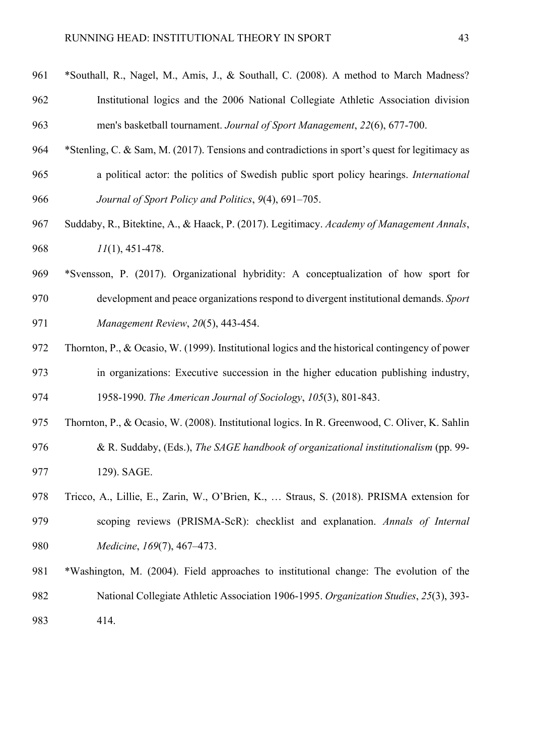- \*Southall, R., Nagel, M., Amis, J., & Southall, C. (2008). A method to March Madness? Institutional logics and the 2006 National Collegiate Athletic Association division men's basketball tournament. *Journal of Sport Management*, *22*(6), 677-700.
- \*Stenling, C. & Sam, M. (2017). Tensions and contradictions in sport's quest for legitimacy as a political actor: the politics of Swedish public sport policy hearings. *International Journal of Sport Policy and Politics*, *9*(4), 691–705.
- Suddaby, R., Bitektine, A., & Haack, P. (2017). Legitimacy. *Academy of Management Annals*, *11*(1), 451-478.
- \*Svensson, P. (2017). Organizational hybridity: A conceptualization of how sport for development and peace organizations respond to divergent institutional demands. *Sport Management Review*, *20*(5), 443-454.
- Thornton, P., & Ocasio, W. (1999). Institutional logics and the historical contingency of power in organizations: Executive succession in the higher education publishing industry, 1958-1990. *The American Journal of Sociology*, *105*(3), 801-843.
- Thornton, P., & Ocasio, W. (2008). Institutional logics. In R. Greenwood, C. Oliver, K. Sahlin & R. Suddaby, (Eds.), *The SAGE handbook of organizational institutionalism* (pp. 99- 129). SAGE.
- Tricco, A., Lillie, E., Zarin, W., O'Brien, K., … Straus, S. (2018). PRISMA extension for scoping reviews (PRISMA-ScR): checklist and explanation. *Annals of Internal Medicine*, *169*(7), 467–473.
- \*Washington, M. (2004). Field approaches to institutional change: The evolution of the National Collegiate Athletic Association 1906-1995. *Organization Studies*, *25*(3), 393- 414.